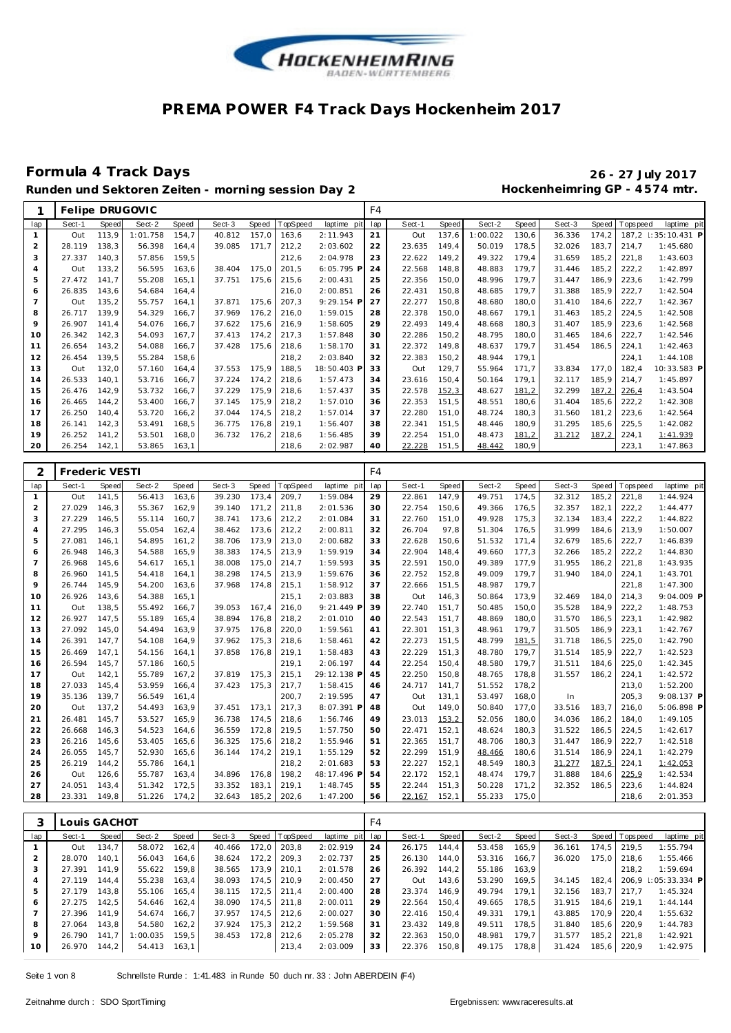

### **Formula 4 Track Days 26 - 27 July 2017** Runden und Sektoren Zeiten - morning session Day 2 **Hockenheimring GP** - 4574 mtr.

|                |        |       | Felipe DRUGOVIC |       |        |       |         |              | F4  |        |       |          |       |        |       |                |                     |
|----------------|--------|-------|-----------------|-------|--------|-------|---------|--------------|-----|--------|-------|----------|-------|--------|-------|----------------|---------------------|
| lap            | Sect-1 | Speed | Sect-2          | Speed | Sect-3 | Speed | opSpeed | laptime pit  | lap | Sect-1 | Speed | Sect-2   | Speed | Sect-3 |       | Speed Topspeed | laptime pit         |
|                | Out    | 113,9 | 1:01.758        | 154,7 | 40.812 | 157,0 | 163,6   | 2:11.943     | 21  | Out    | 137,6 | 1:00.022 | 130,6 | 36.336 | 174,2 |                | 187,2 1:35:10.431 P |
| 2              | 28.119 | 138,3 | 56.398          | 164.4 | 39.085 | 171.7 | 212,2   | 2:03.602     | 22  | 23.635 | 149.4 | 50.019   | 178.5 | 32.026 | 183,7 | 214.7          | 1:45.680            |
| 3              | 27.337 | 140.3 | 57.856          | 159.5 |        |       | 212,6   | 2:04.978     | 23  | 22.622 | 149,2 | 49.322   | 179,4 | 31.659 | 185.2 | 221.8          | 1:43.603            |
| $\overline{4}$ | Out    | 133,2 | 56.595          | 163.6 | 38.404 | 175,0 | 201,5   | $6:05.795$ P | 24  | 22.568 | 148.8 | 48.883   | 179.7 | 31.446 | 185,2 | 222,2          | 1:42.897            |
| 5              | 27.472 | 141.7 | 55.208          | 165.1 | 37.751 | 175,6 | 215.6   | 2:00.431     | 25  | 22.356 | 150.0 | 48.996   | 179.7 | 31.447 | 186.9 | 223,6          | 1:42.799            |
| 6              | 26.835 | 143.6 | 54.684          | 164.4 |        |       | 216.0   | 2:00.851     | 26  | 22.431 | 150,8 | 48.685   | 179.7 | 31.388 | 185.9 | 222,7          | 1:42.504            |
|                | Out    | 135,2 | 55.757          | 164.1 | 37.871 | 175,6 | 207,3   | 9:29.154 P   | 27  | 22.277 | 150,8 | 48.680   | 180.0 | 31.410 | 184.6 | 222,7          | 1:42.367            |
| 8              | 26.717 | 139,9 | 54.329          | 166.7 | 37.969 | 176,2 | 216,0   | 1:59.015     | 28  | 22.378 | 150.0 | 48.667   | 179.1 | 31.463 | 185,2 | 224.5          | 1:42.508            |
| 9              | 26.907 | 141.4 | 54.076          | 166.7 | 37.622 | 175,6 | 216,9   | 1:58.605     | 29  | 22.493 | 149.4 | 48.668   | 180.3 | 31.407 | 185,9 | 223.6          | 1:42.568            |
| 10             | 26.342 | 142,3 | 54.093          | 167.7 | 37.413 | 174,2 | 217,3   | 1:57.848     | 30  | 22.286 | 150,2 | 48.795   | 180.0 | 31.465 | 184.6 | 222,7          | 1:42.546            |
| 11             | 26.654 | 143,2 | 54.088          | 166,7 | 37.428 | 175,6 | 218,6   | 1:58.170     | 31  | 22.372 | 149,8 | 48.637   | 179,7 | 31.454 | 186.5 | 224,1          | 1:42.463            |
| 12             | 26.454 | 139,5 | 55.284          | 158,6 |        |       | 218,2   | 2:03.840     | 32  | 22.383 | 150,2 | 48.944   | 179.1 |        |       | 224,1          | 1:44.108            |
| 13             | Out    | 132,0 | 57.160          | 164.4 | 37.553 | 175,9 | 188.5   | 18:50.403 F  | 33  | Out    | 129,7 | 55.964   | 171,7 | 33.834 | 177.0 | 182.4          | 10:33.583 P         |
| 14             | 26.533 | 140,1 | 53.716          | 166.7 | 37.224 | 174,2 | 218,6   | 1:57.473     | 34  | 23.616 | 150.4 | 50.164   | 179.1 | 32.117 | 185.9 | 214.7          | 1:45.897            |
| 15             | 26.476 | 142.9 | 53.732          | 166.7 | 37.229 | 175,9 | 218,6   | 1:57.437     | 35  | 22.578 | 152,3 | 48.627   | 181,2 | 32.299 | 187,2 | 226.4          | 1:43.504            |
| 16             | 26.465 | 144.2 | 53.400          | 166.7 | 37.145 | 175,9 | 218,2   | 1:57.010     | 36  | 22.353 | 151,5 | 48.551   | 180,6 | 31.404 | 185,6 | 222,2          | 1:42.308            |
| 17             | 26.250 | 140.4 | 53.720          | 166,2 | 37.044 | 174,5 | 218.2   | 1:57.014     | 37  | 22.280 | 151.0 | 48.724   | 180,3 | 31.560 | 181,2 | 223,6          | 1:42.564            |
| 18             | 26.141 | 142,3 | 53.491          | 168,5 | 36.775 | 176,8 | 219,1   | 1:56.407     | 38  | 22.341 | 151.5 | 48.446   | 180,9 | 31.295 | 185.6 | 225.5          | 1:42.082            |
| 19             | 26.252 | 141,2 | 53.501          | 168,0 | 36.732 | 176,2 | 218,6   | 1:56.485     | 39  | 22.254 | 151,0 | 48.473   | 181,2 | 31.212 | 187,2 | 224,1          | 1:41.939            |
| 20             | 26.254 | 142,1 | 53.865          | 163,1 |        |       | 218,6   | 2:02.987     | 40  | 22.228 | 151,5 | 48.442   | 180,9 |        |       | 223,1          | 1:47.863            |

|                | <b>Frederic VESTI</b> |       |        |       |        |       |          |             | F4  |        |              |        |       |        |       |            |              |
|----------------|-----------------------|-------|--------|-------|--------|-------|----------|-------------|-----|--------|--------------|--------|-------|--------|-------|------------|--------------|
| lap            | Sect-1                | Speed | Sect-2 | Speed | Sect-3 | Speed | TopSpeed | laptime pit | lap | Sect-1 | <b>Speed</b> | Sect-2 | Speed | Sect-3 | Speed | T ops peed | laptime pit  |
| 1              | Out                   | 141,5 | 56.413 | 163.6 | 39.230 | 173.4 | 209.7    | 1:59.084    | 29  | 22.861 | 147.9        | 49.751 | 174,5 | 32.312 | 185.2 | 221.8      | 1:44.924     |
| $\overline{a}$ | 27.029                | 146.3 | 55.367 | 162.9 | 39.140 | 171,2 | 211,8    | 2:01.536    | 30  | 22.754 | 150,6        | 49.366 | 176,5 | 32.357 | 182,1 | 222,2      | 1:44.477     |
| 3              | 27.229                | 146,5 | 55.114 | 160,7 | 38.741 | 173,6 | 212,2    | 2:01.084    | 31  | 22.760 | 151,0        | 49.928 | 175,3 | 32.134 | 183,4 | 222,2      | 1:44.822     |
| 4              | 27.295                | 146,3 | 55.054 | 162,4 | 38.462 | 173,6 | 212,2    | 2:00.811    | 32  | 26.704 | 97,8         | 51.304 | 176,5 | 31.999 | 184,6 | 213,9      | 1:50.007     |
| 5              | 27.081                | 146,1 | 54.895 | 161,2 | 38.706 | 173,9 | 213,0    | 2:00.682    | 33  | 22.628 | 150,6        | 51.532 | 171,4 | 32.679 | 185,6 | 222,7      | 1:46.839     |
| 6              | 26.948                | 146.3 | 54.588 | 165.9 | 38.383 | 174.5 | 213,9    | 1:59.919    | 34  | 22.904 | 148.4        | 49.660 | 177,3 | 32.266 | 185,2 | 222,2      | 1:44.830     |
| $\overline{7}$ | 26.968                | 145,6 | 54.617 | 165,1 | 38.008 | 175,0 | 214,7    | 1:59.593    | 35  | 22.591 | 150,0        | 49.389 | 177,9 | 31.955 | 186,2 | 221,8      | 1:43.935     |
| 8              | 26.960                | 141.5 | 54.418 | 164.1 | 38.298 | 174.5 | 213,9    | 1:59.676    | 36  | 22.752 | 152,8        | 49.009 | 179,7 | 31.940 | 184.0 | 224,1      | 1:43.701     |
| 9              | 26.744                | 145,9 | 54.200 | 163,6 | 37.968 | 174,8 | 215,1    | 1:58.912    | 37  | 22.666 | 151,5        | 48.987 | 179,7 |        |       | 221,8      | 1:47.300     |
| 10             | 26.926                | 143,6 | 54.388 | 165.1 |        |       | 215,1    | 2:03.883    | 38  | Out    | 146,3        | 50.864 | 173,9 | 32.469 | 184.0 | 214.3      | $9:04.009$ P |
| 11             | Out                   | 138,5 | 55.492 | 166,7 | 39.053 | 167.4 | 216,0    | 9:21.449 P  | 39  | 22.740 | 151,7        | 50.485 | 150,0 | 35.528 | 184,9 | 222,2      | 1:48.753     |
| 12             | 26.927                | 147.5 | 55.189 | 165.4 | 38.894 | 176.8 | 218,2    | 2:01.010    | 40  | 22.543 | 151,7        | 48.869 | 180,0 | 31.570 | 186,5 | 223,1      | 1:42.982     |
| 13             | 27.092                | 145,0 | 54.494 | 163,9 | 37.975 | 176,8 | 220,0    | 1:59.561    | 41  | 22.301 | 151,3        | 48.961 | 179,7 | 31.505 | 186,9 | 223,1      | 1:42.767     |
| 14             | 26.391                | 147.7 | 54.108 | 164.9 | 37.962 | 175.3 | 218,6    | 1:58.461    | 42  | 22.273 | 151.5        | 48.799 | 181,5 | 31.718 | 186,5 | 225.0      | 1:42.790     |
| 15             | 26.469                | 147,1 | 54.156 | 164.1 | 37.858 | 176,8 | 219,1    | 1:58.483    | 43  | 22.229 | 151,3        | 48.780 | 179,7 | 31.514 | 185,9 | 222,7      | 1:42.523     |
| 16             | 26.594                | 145.7 | 57.186 | 160.5 |        |       | 219,1    | 2:06.197    | 44  | 22.254 | 150.4        | 48.580 | 179,7 | 31.511 | 184.6 | 225,0      | 1:42.345     |
| 17             | Out                   | 142,1 | 55.789 | 167,2 | 37.819 | 175.3 | 215,1    | 29:12.138 P | 45  | 22.250 | 150,8        | 48.765 | 178,8 | 31.557 | 186,2 | 224,1      | 1:42.572     |
| 18             | 27.033                | 145.4 | 53.959 | 166.4 | 37.423 | 175.3 | 217,7    | 1:58.415    | 46  | 24.717 | 141.7        | 51.552 | 178.2 |        |       | 213.0      | 1:52.200     |
| 19             | 35.136                | 139.7 | 56.549 | 161,4 |        |       | 200,7    | 2:19.595    | 47  | Out    | 131,1        | 53.497 | 168,0 | In     |       | 205,3      | 9:08.137 P   |
| 20             | Out                   | 137,2 | 54.493 | 163,9 | 37.451 | 173,1 | 217,3    | 8:07.391 P  | 48  | Out    | 149,0        | 50.840 | 177,0 | 33.516 | 183,7 | 216,0      | 5:06.898 P   |
| 21             | 26.481                | 145,7 | 53.527 | 165,9 | 36.738 | 174,5 | 218,6    | 1:56.746    | 49  | 23.013 | 153,2        | 52.056 | 180,0 | 34.036 | 186,2 | 184,0      | 1:49.105     |
| 22             | 26.668                | 146.3 | 54.523 | 164.6 | 36.559 | 172.8 | 219,5    | 1:57.750    | 50  | 22.471 | 152.1        | 48.624 | 180.3 | 31.522 | 186,5 | 224.5      | 1:42.617     |
| 23             | 26.216                | 145,6 | 53.405 | 165,6 | 36.325 | 175,6 | 218,2    | 1:55.946    | 51  | 22.365 | 151,7        | 48.706 | 180,3 | 31.447 | 186,9 | 222,7      | 1:42.518     |
| 24             | 26.055                | 145.7 | 52.930 | 165.6 | 36.144 | 174.2 | 219,1    | 1:55.129    | 52  | 22.299 | 151,9        | 48.466 | 180,6 | 31.514 | 186,9 | 224,1      | 1:42.279     |
| 25             | 26.219                | 144,2 | 55.786 | 164,1 |        |       | 218,2    | 2:01.683    | 53  | 22.227 | 152,1        | 48.549 | 180,3 | 31.277 | 187,5 | 224,1      | 1:42.053     |
| 26             | Out                   | 126,6 | 55.787 | 163,4 | 34.896 | 176,8 | 198,2    | 48:17.496 F | 54  | 22.172 | 152,1        | 48.474 | 179,7 | 31.888 | 184,6 | 225,9      | 1:42.534     |
| 27             | 24.051                | 143.4 | 51.342 | 172,5 | 33.352 | 183,1 | 219,1    | 1:48.745    | 55  | 22.244 | 151.3        | 50.228 | 171,2 | 32.352 | 186,5 | 223,6      | 1:44.824     |
| 28             | 23.331                | 149,8 | 51.226 | 174,2 | 32.643 | 185,2 | 202,6    | 1:47.200    | 56  | 22.167 | 152,1        | 55.233 | 175,0 |        |       | 218,6      | 2:01.353     |

|                | Louis GACHOT |       |          |       |        |       |                |                 | F4 |        |       |        |       |        |         |                |                     |
|----------------|--------------|-------|----------|-------|--------|-------|----------------|-----------------|----|--------|-------|--------|-------|--------|---------|----------------|---------------------|
| lap            | Sect-1       | Speed | Sect-2   | Speed | Sect-3 |       | Speed TopSpeed | laptime pit lap |    | Sect-1 | Speed | Sect-2 | Speed | Sect-3 |         | Speed Topspeed | laptime pit         |
|                | Out          | 134.7 | 58.072   | 162.4 | 40.466 | 172.0 | 203.8          | 2:02.919        | 24 | 26.175 | 144.4 | 53.458 | 165.9 | 36.161 | 174.5   | 219.5          | 1:55.794            |
|                | 28.070       | 140.1 | 56.043   | 164.6 | 38.624 | 172.2 | 209.3          | 2:02.737        | 25 | 26.130 | 144.0 | 53.316 | 166.7 | 36.020 | 175.0   | 218.6          | 1:55.466            |
| 3              | 27.391       | 141.9 | 55.622   | 159.8 | 38.565 | 173.9 | 210.1          | 2:01.578        | 26 | 26.392 | 144.2 | 55.186 | 163,9 |        |         | 218.2          | 1:59.694            |
| $\overline{4}$ | 27.119       | 144.4 | 55.238   | 163.4 | 38.093 | 174.5 | 210.9          | 2:00.450        | 27 | Out    | 143.6 | 53.290 | 169.5 | 34.145 | 182.4   |                | 206.9 : 05:33.334 P |
| 5              | 27.179       | 143.8 | 55.106   | 165.4 | 38.115 | 172.5 | 211.4          | 2:00.400        | 28 | 23.374 | 146.9 | 49.794 | 179.1 | 32.156 | 183.7   | 217.7          | 1:45.324            |
| 6              | 27.275       | 142.5 | 54.646   | 162.4 | 38.090 | 174.5 | 211.8          | 2:00.011        | 29 | 22.564 | 150.4 | 49.665 | 178.5 | 31.915 | 184.6   | 219.1          | 1:44.144            |
|                | 27.396       | 141.9 | 54.674   | 166.7 | 37.957 | 174.5 | 212.6          | 2:00.027        | 30 | 22.416 | 150.4 | 49.331 | 179.1 | 43.885 | 170.9   | 220.4          | 1:55.632            |
| 8              | 27.064       | 143.8 | 54.580   | 162.2 | 37.924 | 175.3 | 212.2          | 1:59.568        | 31 | 23.432 | 149.8 | 49.511 | 178.5 | 31.840 | $185.6$ | 220.9          | 1:44.783            |
| 9              | 26.790       | 141.7 | 1:00.035 | 159.5 | 38.453 | 172.8 | 212.6          | 2:05.278        | 32 | 22.363 | 150.0 | 48.981 | 179.7 | 31.577 | 185.2   | 221.8          | 1:42.921            |
| 10             | 26.970       | 144,2 | 54.413   | 163.1 |        |       | 213.4          | 2:03.009        | 33 | 22.376 | 150.8 | 49.175 | 178.8 | 31.424 | 185.6   | 220.9          | 1:42.975            |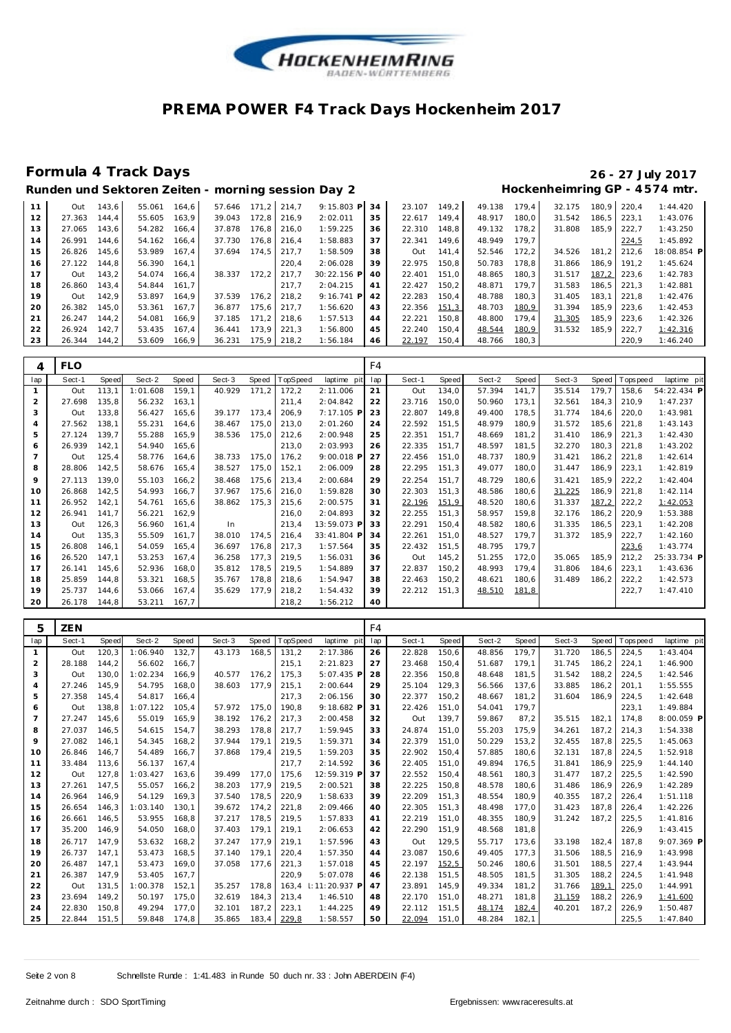

| Runden und Sektoren Zeiten - morning session Day 2 | Hockenheimring GP - 4574 mtr. |  |
|----------------------------------------------------|-------------------------------|--|
|                                                    |                               |  |

| 11 | Out    | 143.6 | 55.061 | 164.6 | 57.646 | 171.2 | 214.7       | $9:15.803$ P | 34 | 23.107 | 149.2 | 49.138 | 179.4  | 32.175 | 180.9 | 220.4 | 1:44.420    |
|----|--------|-------|--------|-------|--------|-------|-------------|--------------|----|--------|-------|--------|--------|--------|-------|-------|-------------|
| 12 | 27.363 | 144.4 | 55.605 | 163.9 | 39.043 | 172.8 | 216.9       | 2:02.011     | 35 | 22.617 | 149.4 | 48.917 | 180.0  | 31.542 | 186.5 | 223.1 | 1:43.076    |
| 13 | 27.065 | 143.6 | 54.282 | 166.4 | 37.878 | 176.8 | 216.0       | 1:59.225     | 36 | 22.310 | 148,8 | 49.132 | 178,2  | 31.808 | 185.9 | 222,7 | 1:43.250    |
| 14 | 26.991 | 144.6 | 54.162 | 166.4 | 37.730 | 176.8 | 216.4       | 1:58.883     | 37 | 22.341 | 149.6 | 48.949 | 179.7  |        |       | 224,5 | 1:45.892    |
| 15 | 26.826 | 145.6 | 53.989 | 167.4 | 37.694 | 174.5 | 217.7       | 1:58.509     | 38 | Out    | 141.4 | 52.546 | 172.2  | 34.526 | 181.2 | 212.6 | 18:08.854 F |
| 16 | 27.122 | 144.8 | 56.390 | 164.1 |        |       | 220.4       | 2:06.028     | 39 | 22.975 | 150.8 | 50.783 | 178.8  | 31.866 | 186.9 | 191.2 | 1:45.624    |
| 17 | Out    | 143.2 | 54.074 | 166.4 | 38.337 | 172.2 | 217.7       | 30:22.156 P  | 40 | 22.401 | 151.0 | 48.865 | 180.3  | 31.517 | 187,2 | 223.6 | 1:42.783    |
| 18 | 26.860 | 143.4 | 54.844 | 161.7 |        |       | 217.7       | 2:04.215     | 41 | 22.427 | 150.2 | 48.871 | 179.7  | 31.583 | 186.5 | 221.3 | 1:42.881    |
| 19 | Out    | 142.9 | 53.897 | 164.9 | 37.539 | 176.2 | 218.2       | $9:16.741$ P | 42 | 22.283 | 150.4 | 48.788 | 180.3  | 31.405 | 183.1 | 221.8 | 1:42.476    |
| 20 | 26.382 | 145.0 | 53.361 | 167.7 | 36.877 | 175.6 | 217.7       | 1:56.620     | 43 | 22.356 | 151,3 | 48.703 | 180,9  | 31.394 | 185.9 | 223.6 | 1:42.453    |
| 21 | 26.247 | 144.2 | 54.081 | 166.9 | 37.185 | 171.2 | 218.6       | 1:57.513     | 44 | 22.221 | 150.8 | 48.800 | 179.4  | 31.305 | 185.9 | 223.6 | 1:42.326    |
| 22 | 26.924 | 142.7 | 53.435 | 167.4 | 36.441 | 173.9 | 221.3       | 1:56.800     | 45 | 22.240 | 150.4 | 48.544 | 180,9  | 31.532 | 185.9 | 222.7 | 1:42.316    |
| 23 | 26.344 | 144,2 | 53.609 | 166,9 | 36.231 |       | 175,9 218,2 | 1:56.184     | 46 | 22.197 | 150,4 | 48.766 | 180, 3 |        |       | 220,9 | 1:46.240    |
|    |        |       |        |       |        |       |             |              |    |        |       |        |        |        |       |       |             |

| 4   | <b>FLO</b> |              |          |       |        |       |          |             | F <sub>4</sub> |        |       |        |       |        |       |            |             |
|-----|------------|--------------|----------|-------|--------|-------|----------|-------------|----------------|--------|-------|--------|-------|--------|-------|------------|-------------|
| lap | Sect-1     | <b>Speed</b> | Sect-2   | Speed | Sect-3 | Speed | TopSpeed | laptime pit | lap            | Sect-1 | Speed | Sect-2 | Speed | Sect-3 | Speed | T ops peed | laptime pit |
|     | Out        | 113,1        | 1:01.608 | 159,1 | 40.929 | 171,2 | 172,2    | 2:11.006    | 21             | Out    | 134.0 | 57.394 | 141,7 | 35.514 | 179,7 | 158,6      | 54:22.434 P |
| 2   | 27.698     | 135,8        | 56.232   | 163,1 |        |       | 211,4    | 2:04.842    | 22             | 23.716 | 150.0 | 50.960 | 173,1 | 32.561 | 184,3 | 210.9      | 1:47.237    |
| 3   | Out        | 133,8        | 56.427   | 165,6 | 39.177 | 173,4 | 206,9    | 7:17.105 P  | 23             | 22.807 | 149,8 | 49.400 | 178,5 | 31.774 | 184,6 | 220.0      | 1:43.981    |
| 4   | 27.562     | 138,1        | 55.231   | 164.6 | 38.467 | 175,0 | 213,0    | 2:01.260    | 24             | 22.592 | 151,5 | 48.979 | 180,9 | 31.572 | 185,6 | 221,8      | 1:43.143    |
| 5   | 27.124     | 139.7        | 55.288   | 165,9 | 38.536 | 175.0 | 212,6    | 2:00.948    | 25             | 22.351 | 151.7 | 48.669 | 181,2 | 31.410 | 186,9 | 221,3      | 1:42.430    |
| 6   | 26.939     | 142,1        | 54.940   | 165,6 |        |       | 213,0    | 2:03.993    | 26             | 22.335 | 151.7 | 48.597 | 181,5 | 32.270 | 180,3 | 221,8      | 1:43.202    |
|     | Out        | 125,4        | 58.776   | 164.6 | 38.733 | 175,0 | 176,2    | 9:00.018 P  | 27             | 22.456 | 151.0 | 48.737 | 180.9 | 31.421 | 186,2 | 221,8      | 1:42.614    |
| 8   | 28.806     | 142,5        | 58.676   | 165,4 | 38.527 | 175,0 | 152,1    | 2:06.009    | 28             | 22.295 | 151.3 | 49.077 | 180.0 | 31.447 | 186,9 | 223,1      | 1:42.819    |
| 9   | 27.113     | 139,0        | 55.103   | 166.2 | 38.468 | 175,6 | 213,4    | 2:00.684    | 29             | 22.254 | 151,7 | 48.729 | 180,6 | 31.421 | 185,9 | 222,2      | 1:42.404    |
| 10  | 26.868     | 142,5        | 54.993   | 166.7 | 37.967 | 175,6 | 216,0    | 1:59.828    | 30             | 22.303 | 151,3 | 48.586 | 180,6 | 31.225 | 186,9 | 221,8      | 1:42.114    |
| 11  | 26.952     | 142,1        | 54.761   | 165.6 | 38.862 | 175,3 | 215,6    | 2:00.575    | 31             | 22.196 | 151,9 | 48.520 | 180,6 | 31.337 | 187,2 | 222,2      | 1:42.053    |
| 12  | 26.941     | 141,7        | 56.221   | 162,9 |        |       | 216,0    | 2:04.893    | 32             | 22.255 | 151,3 | 58.957 | 159.8 | 32.176 | 186,2 | 220,9      | 1:53.388    |
| 13  | Out        | 126,3        | 56.960   | 161.4 | In     |       | 213,4    | 13:59.073 P | 33             | 22.291 | 150,4 | 48.582 | 180.6 | 31.335 | 186,5 | 223.1      | 1:42.208    |
| 14  | Out        | 135,3        | 55.509   | 161.7 | 38.010 | 174,5 | 216.4    | 33:41.804 P | 34             | 22.261 | 151.0 | 48.527 | 179.7 | 31.372 | 185,9 | 222,7      | 1:42.160    |
| 15  | 26.808     | 146,1        | 54.059   | 165,4 | 36.697 | 176,8 | 217,3    | 1:57.564    | 35             | 22.432 | 151,5 | 48.795 | 179,7 |        |       | 223,6      | 1:43.774    |
| 16  | 26.520     | 147,1        | 53.253   | 167.4 | 36.258 | 177,3 | 219,5    | 1:56.031    | 36             | Out    | 145,2 | 51.255 | 172,0 | 35.065 | 185,9 | 212,2      | 25:33.734 P |
| 17  | 26.141     | 145,6        | 52.936   | 168,0 | 35.812 | 178,5 | 219,5    | 1:54.889    | 37             | 22.837 | 150,2 | 48.993 | 179.4 | 31.806 | 184,6 | 223,1      | 1:43.636    |
| 18  | 25.859     | 144,8        | 53.321   | 168,5 | 35.767 | 178,8 | 218,6    | 1:54.947    | 38             | 22.463 | 150,2 | 48.621 | 180,6 | 31.489 | 186.2 | 222,2      | 1:42.573    |
| 19  | 25.737     | 144,6        | 53.066   | 167.4 | 35.629 | 177,9 | 218,2    | 1:54.432    | 39             | 22.212 | 151.3 | 48.510 | 181,8 |        |       | 222,7      | 1:47.410    |
| 20  | 26.178     | 144,8        | 53.211   | 167,7 |        |       | 218,2    | 1:56.212    | 40             |        |       |        |       |        |       |            |             |

| 5              | <b>ZEN</b> |       |          |       |        |              |          |                      | F4  |        |              |        |       |        |       |            |              |
|----------------|------------|-------|----------|-------|--------|--------------|----------|----------------------|-----|--------|--------------|--------|-------|--------|-------|------------|--------------|
| lap            | Sect-1     | Speed | Sect-2   | Speed | Sect-3 | <b>Speed</b> | TopSpeed | laptime pit          | lap | Sect-1 | <b>Speed</b> | Sect-2 | Speed | Sect-3 | Speed | T ops peed | laptime pit  |
| 1              | Out        | 120,3 | 1:06.940 | 132.7 | 43.173 | 168.5        | 131,2    | 2:17.386             | 26  | 22.828 | 150.6        | 48.856 | 179.7 | 31.720 | 186.5 | 224.5      | 1:43.404     |
| $\overline{2}$ | 28.188     | 144.2 | 56.602   | 166.7 |        |              | 215,1    | 2:21.823             | 27  | 23.468 | 150.4        | 51.687 | 179.1 | 31.745 | 186.2 | 224.1      | 1:46.900     |
| 3              | Out        | 130.0 | 1:02.234 | 166.9 | 40.577 | 176.2        | 175,3    | 5:07.435 P           | 28  | 22.356 | 150.8        | 48.648 | 181.5 | 31.542 | 188.2 | 224.5      | 1:42.546     |
| $\overline{4}$ | 27.246     | 145.9 | 54.795   | 168.0 | 38.603 | 177.9        | 215,1    | 2:00.644             | 29  | 25.104 | 129.3        | 56.566 | 137.6 | 33.885 | 186.2 | 201.1      | 1:55.555     |
| 5              | 27.358     | 145.4 | 54.817   | 166.4 |        |              | 217,3    | 2:06.156             | 30  | 22.377 | 150.2        | 48.667 | 181.2 | 31.604 | 186.9 | 224.5      | 1:42.648     |
| 6              | Out        | 138.8 | 1:07.122 | 105.4 | 57.972 | 175.0        | 190.8    | 9:18.682 P           | 31  | 22.426 | 151.0        | 54.041 | 179.7 |        |       | 223,1      | 1:49.884     |
| $\overline{7}$ | 27.247     | 145.6 | 55.019   | 165.9 | 38.192 | 176.2        | 217,3    | 2:00.458             | 32  | Out    | 139.7        | 59.867 | 87.2  | 35.515 | 182.1 | 174.8      | $8:00.059$ P |
| 8              | 27.037     | 146.5 | 54.615   | 154.7 | 38.293 | 178.8        | 217,7    | 1:59.945             | 33  | 24.874 | 151.0        | 55.203 | 175.9 | 34.261 | 187.2 | 214.3      | 1:54.338     |
| 9              | 27.082     | 146.1 | 54.345   | 168.2 | 37.944 | 179.1        | 219,5    | 1:59.371             | 34  | 22.379 | 151.0        | 50.229 | 153,2 | 32.455 | 187.8 | 225,5      | 1:45.063     |
| 10             | 26.846     | 146.7 | 54.489   | 166.7 | 37.868 | 179.4        | 219,5    | 1:59.203             | 35  | 22.902 | 150,4        | 57.885 | 180,6 | 32.131 | 187,8 | 224,5      | 1:52.918     |
| 11             | 33.484     | 113.6 | 56.137   | 167.4 |        |              | 217.7    | 2:14.592             | 36  | 22.405 | 151.0        | 49.894 | 176.5 | 31.841 | 186.9 | 225.9      | 1:44.140     |
| 12             | Out        | 127.8 | 1:03.427 | 163.6 | 39.499 | 177.0        | 175.6    | 12:59.319 P          | 37  | 22.552 | 150.4        | 48.561 | 180.3 | 31.477 | 187.2 | 225.5      | 1:42.590     |
| 13             | 27.261     | 147.5 | 55.057   | 166,2 | 38.203 | 177.9        | 219,5    | 2:00.521             | 38  | 22.225 | 150.8        | 48.578 | 180.6 | 31.486 | 186.9 | 226,9      | 1:42.289     |
| 14             | 26.964     | 146.9 | 54.129   | 169.3 | 37.540 | 178.5        | 220,9    | 1:58.633             | 39  | 22.209 | 151.3        | 48.554 | 180.9 | 40.355 | 187.2 | 226.4      | 1:51.118     |
| 15             | 26.654     | 146,3 | 1:03.140 | 130.1 | 39.672 | 174,2        | 221,8    | 2:09.466             | 40  | 22.305 | 151,3        | 48.498 | 177,0 | 31.423 | 187.8 | 226,4      | 1:42.226     |
| 16             | 26.661     | 146,5 | 53.955   | 168,8 | 37.217 | 178,5        | 219,5    | 1:57.833             | 41  | 22.219 | 151,0        | 48.355 | 180,9 | 31.242 | 187,2 | 225,5      | 1:41.816     |
| 17             | 35.200     | 146,9 | 54.050   | 168,0 | 37.403 | 179,1        | 219,1    | 2:06.653             | 42  | 22.290 | 151,9        | 48.568 | 181,8 |        |       | 226,9      | 1:43.415     |
| 18             | 26.717     | 147.9 | 53.632   | 168.2 | 37.247 | 177.9        | 219,1    | 1:57.596             | 43  | Out    | 129,5        | 55.717 | 173.6 | 33.198 | 182.4 | 187.8      | $9:07.369$ P |
| 19             | 26.737     | 147.1 | 53.473   | 168.5 | 37.140 | 179.1        | 220,4    | 1:57.350             | 44  | 23.087 | 150.6        | 49.405 | 177.3 | 31.506 | 188.5 | 216.9      | 1:43.998     |
| 20             | 26.487     | 147.1 | 53.473   | 169.0 | 37.058 | 177.6        | 221.3    | 1:57.018             | 45  | 22.197 | 152,5        | 50.246 | 180.6 | 31.501 | 188.5 | 227.4      | 1:43.944     |
| 21             | 26.387     | 147.9 | 53.405   | 167.7 |        |              | 220,9    | 5:07.078             | 46  | 22.138 | 151.5        | 48.505 | 181.5 | 31.305 | 188.2 | 224,5      | 1:41.948     |
| 22             | Out        | 131,5 | 1:00.378 | 152,1 | 35.257 | 178.8        | 163,4    | $\vdots$ 11:20.937 P | 47  | 23.891 | 145.9        | 49.334 | 181,2 | 31.766 | 189,1 | 225,0      | 1:44.991     |
| 23             | 23.694     | 149.2 | 50.197   | 175,0 | 32.619 | 184,3        | 213,4    | 1:46.510             | 48  | 22.170 | 151,0        | 48.271 | 181,8 | 31.159 | 188,2 | 226,9      | 1:41.600     |
| 24             | 22.830     | 150,8 | 49.294   | 177,0 | 32.101 | 187,2        | 223,1    | 1:44.225             | 49  | 22.112 | 151,5        | 48.174 | 182,4 | 40.201 | 187,2 | 226,9      | 1:50.487     |
| 25             | 22.844     | 151.5 | 59.848   | 174,8 | 35.865 | 183.4        | 229,8    | 1:58.557             | 50  | 22.094 | 151.0        | 48.284 | 182,1 |        |       | 225,5      | 1:47.840     |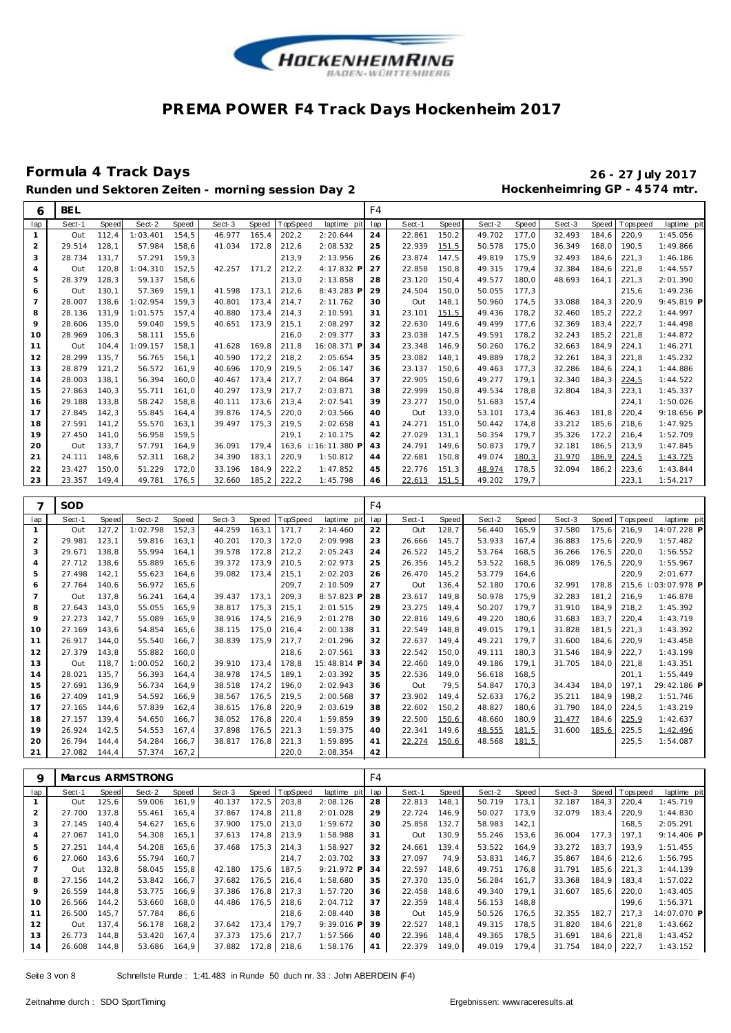

### **Formula 4 Track Days 26 - 27 July 2017**

### Runden und Sektoren Zeiten - morning session Day 2 **Hockenheimring GP** - 4574 mtr.

| lap                            | <b>BEL</b>    |                |                    |                |                  |                |                 |                      | F <sub>4</sub> |                  |                |                  |                |                  |                |                |                        |
|--------------------------------|---------------|----------------|--------------------|----------------|------------------|----------------|-----------------|----------------------|----------------|------------------|----------------|------------------|----------------|------------------|----------------|----------------|------------------------|
|                                | Sect-1        | Speed          | Sect-2             | Speed          | Sect-3           | Speed          | TopSpeed        | laptime pi           | lap            | Sect-1           | Speed          | Sect-2           | Speed          | Sect-3           | Speed          | T ops pee d    | laptime<br>pit         |
| $\mathbf{1}$                   | Out           | 112,4          | 1:03.401           | 154,5          | 46.977           | 165,4          | 202,2           | 2:20.644             | 24             | 22.861           | 150,2          | 49.702           | 177,0          | 32.493           | 184,6          | 220,9          | 1:45.056               |
| $\overline{c}$                 | 29.514        | 128,1          | 57.984             | 158,6          | 41.034           | 172,8          | 212,6           | 2:08.532             | 25             | 22.939           | 151,5          | 50.578           | 175,0          | 36.349           | 168,0          | 190.5          | 1:49.866               |
| 3                              | 28.734        | 131,7          | 57.291             | 159,3          |                  |                | 213,9           | 2:13.956             | 26             | 23.874           | 147,5          | 49.819           | 175,9          | 32.493           | 184,6          | 221,3          | 1:46.186               |
| $\overline{4}$                 | Out           | 120,8          | 1:04.310           | 152,5          | 42.257           | 171,2          | 212,2           | 4:17.832 F           | 27             | 22.858           | 150,8          | 49.315           | 179,4          | 32.384           | 184,6          | 221,8          | 1:44.557               |
| 5                              | 28.379        | 128,3          | 59.137             | 158,6          |                  |                | 213,0           | 2:13.858             | 28             | 23.120           | 150,4          | 49.577           | 180,0          | 48.693           | 164,1          | 221,3          | 2:01.390               |
| 6<br>$\overline{7}$            | Out<br>28.007 | 130,1          | 57.369<br>1:02.954 | 159,1<br>159,3 | 41.598<br>40.801 | 173,1          | 212,6<br>214,7  | 8:43.283 P           | 29             | 24.504<br>Out    | 150,0<br>148,1 | 50.055<br>50.960 | 177,3<br>174,5 | 33.088           |                | 215,6<br>220,9 | 1:49.236<br>9:45.819 P |
| 8                              | 28.136        | 138,6<br>131,9 | 1:01.575           | 157,4          | 40.880           | 173,4<br>173,4 | 214,3           | 2:11.762<br>2:10.591 | 30<br>31       | 23.101           | 151,5          | 49.436           | 178,2          | 32.460           | 184,3<br>185,2 | 222,2          | 1:44.997               |
| 9                              | 28.606        | 135,0          | 59.040             | 159,5          | 40.651           | 173,9          | 215,1           | 2:08.297             | 32             | 22.630           | 149,6          | 49.499           | 177,6          | 32.369           | 183,4          | 222,7          | 1:44.498               |
| 10                             | 28.969        | 106,3          | 58.111             | 155,6          |                  |                | 216,0           | 2:09.377             | 33             | 23.038           | 147,5          | 49.591           | 178,2          | 32.243           | 185,2          | 221,8          | 1:44.872               |
| 11                             | Out           | 104,4          | 1:09.157           | 158,1          | 41.628           | 169,8          | 211,8           | 16:08.371 F          | 34             | 23.348           | 146,9          | 50.260           | 176,2          | 32.663           | 184,9          | 224,1          | 1:46.271               |
| 12                             | 28.299        | 135,7          | 56.765             | 156,1          | 40.590           | 172,2          | 218,2           | 2:05.654             | 35             | 23.082           | 148,1          | 49.889           | 178,2          | 32.261           | 184,3          | 221,8          | 1:45.232               |
| 13                             | 28.879        | 121, 2         | 56.572             | 161,9          | 40.696           | 170,9          | 219,5           | 2:06.147             | 36             | 23.137           | 150,6          | 49.463           | 177,3          | 32.286           | 184,6          | 224,1          | 1:44.886               |
| 14                             | 28.003        | 138,1          | 56.394             | 160,0          | 40.467           | 173,4          | 217,7           | 2:04.864             | 37             | 22.905           | 150,6          | 49.277           | 179,1          | 32.340           | 184,3          | 224,5          | 1:44.522               |
| 15                             | 27.863        | 140.3          | 55.711             | 161,0          | 40.297           | 173,9          | 217,7           | 2:03.871             | 38             | 22.999           | 150,8          | 49.534           | 178,8          | 32.804           | 184.3          | 223,1          | 1:45.337               |
| 16                             | 29.188        | 133,8          | 58.242             | 158,8          | 40.111           | 173,6          | 213,4           | 2:07.541             | 39             | 23.277           | 150,0          | 51.683           | 157,4          |                  |                | 224,1          | 1:50.026               |
| 17                             | 27.845        | 142,3          | 55.845             | 164,4          | 39.876           | 174,5          | 220,0           | 2:03.566             | 40             | Out              | 133,0          | 53.101           | 173,4          | 36.463           | 181,8          | 220,4          | 9:18.656 P             |
| 18                             | 27.591        | 141,2          | 55.570             | 163,1          | 39.497           | 175,3          | 219,5           | 2:02.658             | 41             | 24.271           | 151,0          | 50.442           | 174,8          | 33.212           | 185,6          | 218,6          | 1:47.925               |
| 19                             | 27.450        | 141,0          | 56.958             | 159,5          |                  |                | 219,1           | 2:10.175             | 42             | 27.029           | 131,1          | 50.354           | 179,7          | 35.326           | 172,2          | 216,4          | 1:52.709               |
| 20                             | Out           | 133,7          | 57.791             | 164,9          | 36.091           | 179,4          | 163,6           | I: 16: 11.380 F      | 43             | 24.791           | 149,6          | 50.873           | 179,7          | 32.181           | 186,5          | 213,9          | 1:47.845               |
| 21                             | 24.111        | 148,6          | 52.311             | 168,2          | 34.390           | 183,1          | 220,9           | 1:50.812             | 44             | 22.681           | 150,8          | 49.074           | 180,3          | 31.970           | 186,9          | 224,5          | 1:43.725               |
| 22                             | 23.427        | 150,0          | 51.229             | 172,0          | 33.196           | 184,9          | 222,2           | 1:47.852             | 45             | 22.776           | 151,3          | 48.974           | 178,5          | 32.094           | 186,2          | 223,6          | 1:43.844               |
| 23                             | 23.357        | 149,4          | 49.781             | 176,5          | 32.660           | 185,2          | 222,2           | 1:45.798             | 46             | 22.613           | 151,5          | 49.202           | 179,7          |                  |                | 223,1          | 1:54.217               |
|                                |               |                |                    |                |                  |                |                 |                      |                |                  |                |                  |                |                  |                |                |                        |
| 7                              | SOD           |                |                    |                |                  |                |                 |                      | F <sub>4</sub> |                  |                |                  |                |                  |                |                |                        |
| lap                            | Sect-1        | Speed          | Sect-2             | Speed          | Sect-3           | Speed          | TopSpeed        | laptime pi           | lap            | Sect-1           | Speed          | Sect-2           | Speed          | Sect-3           | Speed          | T ops pee d    | laptime pit            |
| $\mathbf{1}$                   | Out           | 127,2          | 1:02.798           | 152,3          | 44.259           | 163,1          | 171,7           | 2:14.460             | 22             | Out              | 128,7          | 56.440           | 165,9          | 37.580           | 175,6          | 216,9          | 14:07.228 P            |
|                                |               |                |                    |                |                  |                |                 |                      |                |                  |                |                  |                |                  |                |                |                        |
| $\overline{2}$                 | 29.981        | 123,1          | 59.816             | 163,1          | 40.201           | 170,3          | 172,0           | 2:09.998             | 23             | 26.666           | 145,7          | 53.933           | 167,4          | 36.883           | 175,6          | 220,9          | 1:57.482               |
| 3                              | 29.671        | 138,8          | 55.994             | 164,1          | 39.578           | 172,8          | 212,2           | 2:05.243             | 24             | 26.522           | 145,2          | 53.764           | 168,5          | 36.266           | 176,5          | 220,0          | 1:56.552               |
| $\overline{4}$                 | 27.712        | 138,6          | 55.889             | 165,6          | 39.372           | 173,9          | 210,5           | 2:02.973             | 25             | 26.356           | 145,2          | 53.522           | 168,5          | 36.089           | 176,5          | 220,9          | 1:55.967               |
| 5                              | 27.498        | 142,1          | 55.623             | 164,6          | 39.082           | 173,4          | 215,1           | 2:02.203             | 26             | 26.470           | 145,2          | 53.779           | 164,6          |                  |                | 220,9          | 2:01.677               |
| 6                              | 27.764        | 140,6          | 56.972             | 165,6          |                  |                | 209,7           | 2:10.509             | 27             | Out              | 136,4          | 52.180           | 170,6          | 32.991           | 178,8          | 215,6          | 03:07.978 P            |
| $\overline{7}$                 | Out           | 137,8          | 56.241             | 164,4          | 39.437           | 173,1          | 209,3           | 8:57.823 F           | 28             | 23.617           | 149,8          | 50.978           | 175,9          | 32.283           | 181,2          | 216,9          | 1:46.878               |
| 8                              | 27.643        | 143,0          | 55.055             | 165,9          | 38.817           | 175.3          | 215,1           | 2:01.515             | 29             | 23.275           | 149.4          | 50.207           | 179.7          | 31.910           | 184,9          | 218,2          | 1:45.392               |
| 9                              | 27.273        | 142,7          | 55.089             | 165,9          | 38.916           | 174,5          | 216,9           | 2:01.278             | 30             | 22.816           | 149.6          | 49.220           | 180.6          | 31.683           | 183.7          | 220,4          | 1:43.719               |
| 10                             | 27.169        | 143,6          | 54.854             | 165,6          | 38.115           | 175,0          | 216,4           | 2:00.138             | 31             | 22.549           | 148,8          | 49.015           | 179,1          | 31.828           | 181,5          | 221,3          | 1:43.392               |
| 11                             | 26.917        | 144,0          | 55.540             | 166,7          | 38.839           | 175,9          | 217,7           | 2:01.296             | 32             | 22.637           | 149,4          | 49.221           | 179,7          | 31.600           | 184,6          | 220,9          | 1:43.458               |
| 12                             | 27.379        | 143,8          | 55.882             | 160,0          |                  |                | 218,6           | 2:07.561             | 33             | 22.542           | 150,0          | 49.111           | 180,3          | 31.546           | 184,9          | 222,7          | 1:43.199               |
| 13                             | Out           | 118,7          | 1:00.052           | 160, 2         | 39.910           | 173,4          | 178,8           | 15:48.814 F          | 34             | 22.460           | 149,0          | 49.186           | 179,1          | 31.705           | 184,0          | 221,8          | 1:43.351               |
| 14                             | 28.021        | 135,7          | 56.393             | 164,4          | 38.978           | 174,5          | 189,1           | 2:03.392             | 35             | 22.536           | 149,0          | 56.618           | 168,5          |                  |                | 201,1          | 1:55.449               |
| 15                             | 27.691        | 136,9          | 56.734             | 164,9          | 38.518           | 174,2          | 196,0           | 2:02.943             | 36             | Out              | 79,5           | 54.847           | 170,3          | 34.434           | 184,0          | 197,1          | 29:42.186              |
| 16                             | 27.409        | 141,9          | 54.592             | 166,9          | 38.567           | 176,5          | 219,5           | 2:00.568             | 37             | 23.902           | 149,4          | 52.633           | 176,2          | 35.211           | 184,9          | 198,2          | 1:51.746               |
| 17                             | 27.165        | 144,6          | 57.839             | 162,4          | 38.615           | 176,8          | 220,9           | 2:03.619             | 38             | 22.602           | 150,2          | 48.827           | 180,6          | 31.790           | 184,0          | 224,5          | 1:43.219               |
| 18                             | 27.157        | 139,4          | 54.650             | 166,7          | 38.052           | 176,8          | 220,4           | 1:59.859             | 39             | 22.500           | 150,6          | 48.660           | 180,9          | 31.477           | 184,6          | 225,9          | 1:42.637               |
| 19                             | 26.924        | 142,5          | 54.553             | 167,4          | 37.898           | 176,5          | 221,3           | 1:59.375             | 40             | 22.341           | 149,6          | 48.555           | 181,5          | 31.600           | 185,6          | 225,5          | 1:42.496               |
| 20                             | 26.794        | 144,4          | 54.284             | 166,7          | 38.817           | 176,8          | 221,3           | 1:59.895             | 41             | 22.274           | 150,6          | 48.568           | 181,5          |                  |                | 225, 5         | 1:54.087               |
| 21                             | 27.082        | 144,4          | 57.374             | 167,2          |                  |                | 220,0           | 2:08.354             | 42             |                  |                |                  |                |                  |                |                |                        |
|                                |               |                |                    |                |                  |                |                 |                      |                |                  |                |                  |                |                  |                |                |                        |
| 9                              |               |                | Marcus ARMSTRONG   |                |                  |                |                 |                      | F <sub>4</sub> |                  |                |                  |                |                  |                |                |                        |
| lap                            | Sect-1        | Speed          | Sect-2             | Speed          | Sect-3           | Speed          | <b>TopSpeed</b> | laptime pi           | lap            | Sect-1           | Speed          | Sect-2           | Speed          | Sect-3           | Speed          | Tops pee d     | laptime pit            |
| $\mathbf{1}$<br>$\overline{2}$ | Out<br>27.700 | 125,6<br>137,8 | 59.006<br>55.461   | 161,9<br>165,4 | 40.137<br>37.867 | 172,5<br>174,8 | 203,8<br>211,8  | 2:08.126<br>2:01.028 | 28<br>29       | 22.813<br>22.724 | 148,1<br>146,9 | 50.719<br>50.027 | 173,1<br>173,9 | 32.187<br>32.079 | 184,3<br>183,4 | 220,4<br>220,9 | 1:45.719<br>1:44.830   |

| Saha 3 Von 8 |  |  |  |
|--------------|--|--|--|

 27.067 141,0 54.308 165,1 37.613 174,8 213,9 1:58.988 27.251 144,4 54.208 165,6 37.468 175,3 214,3 1:58.927 27.060 143,6 55.794 160,7 Out 132,8 58.045 155,8 42.180 175,6 187,5 9:21.972 **P** 27.156 144,2 53.842 166,7 37.682 176,5 216,4 1:58.680 26.559 144,8 53.775 166,9 37.386 176,8 217,3 1:57.720 26.566 144,2 53.660 168,0 44.486 176,5 218,6 2:04.712 26.500 145,7 57.784 86,6 218,6 2:08.440 Out 137,4 56.178 168,2 37.642 173,4 179,7 9:39.016 **P** 26.773 144,8 53.420 167,4 37.373 175,6 217,7 1:57.566 26.608 144,8 53.686 164,9 37.882 172,8 218,6 1:58.176

 Out 130,9 55.246 153,6 36.004 177,3 197,1 9:14.406 **P** 24.661 139,4 53.522 164,9 33.272 183,7 193,9 1:51.455 27.097 74,9 53.831 146,7 35.867 184,6 212,6 1:56.795 22.597 148,6 49.751 176,8 31.791 185,6 221,3 1:44.139 27.370 135,0 56.284 161,7 33.368 184,9 183,4 1:57.022 22.458 148,6 49.340 179,1 31.607 185,6 220,0 1:43.405 22.359 148,4 56.153 148,8 199,6 1:56.371 Out 145,9 50.526 176,5 32.355 182,7 217,3 14:07.070 **P** 22.527 148,1 49.315 178,5 31.820 184,6 221,8 1:43.662 22.396 148,4 49.365 178,5 31.691 184,6 221,8 1:43.452 22.379 149,0 49.019 179,4 31.754 184,0 222,7 1:43.152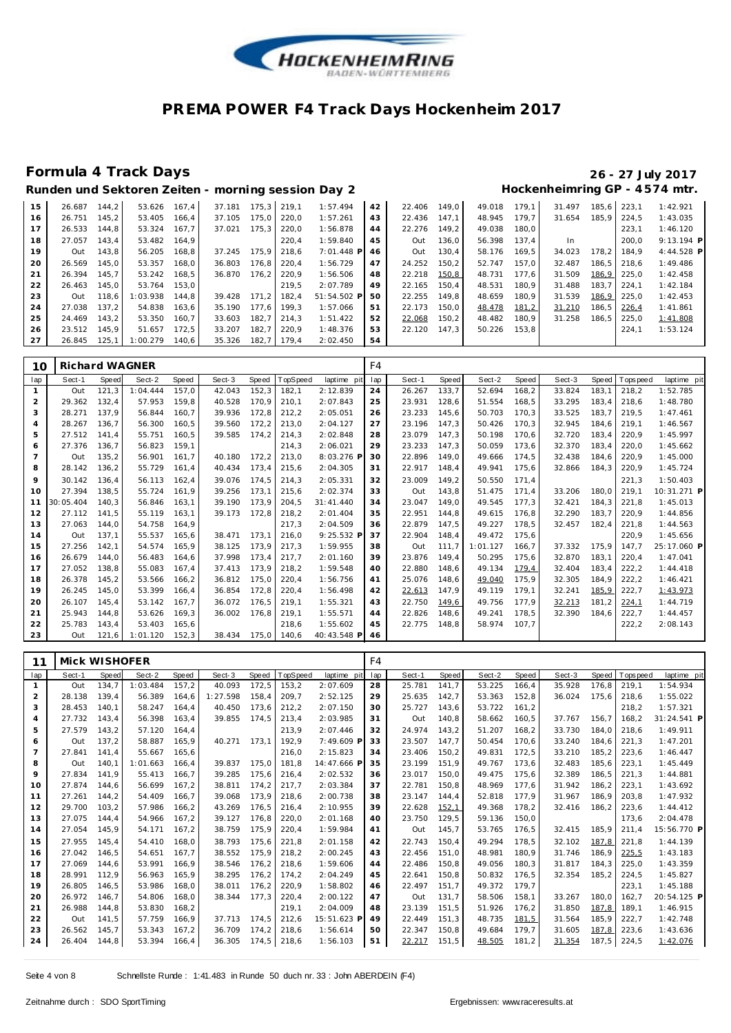

|                            |  | $20 - 27$ July 201 |  |
|----------------------------|--|--------------------|--|
| ockenheimring GP - 4574 mt |  |                    |  |

| 15 | 26.687       | 144.2 | 53.626   | 167.4 | 37.181 | 175.3 | 219.1 | 1:57.494    | 42 | 22.406 | 149.0 | 49.018 | 179.1 | 31.497 |       | 185.6 223.1 | 1:42.921     |
|----|--------------|-------|----------|-------|--------|-------|-------|-------------|----|--------|-------|--------|-------|--------|-------|-------------|--------------|
| 16 | 26.751       | 145.2 | 53.405   | 166.4 | 37.105 | 175.0 | 220.0 | 1:57.261    | 43 | 22.436 | 147.1 | 48.945 | 179.7 | 31.654 |       | 185.9 224.5 | 1:43.035     |
| 17 | 26.533       | 144.8 | 53.324   | 167.7 | 37.021 | 175.3 | 220.0 | 1:56.878    | 44 | 22.276 | 149.2 | 49.038 | 180.0 |        |       | 223.1       | 1:46.120     |
| 18 | 27.057       | 143.4 | 53.482   | 164.9 |        |       | 220.4 | 1:59.840    | 45 | Out    | 136.0 | 56.398 | 137.4 | In.    |       | 200.0       | $9:13.194$ P |
| 19 | Out          | 143.8 | 56.205   | 168.8 | 37.245 | 175.9 | 218.6 | 7:01.448 PI | 46 | Out    | 130.4 | 58.176 | 169.5 | 34.023 | 178.2 | 184.9       | 4:44.528 P   |
| 20 | 26.569       | 145.0 | 53.357   | 168.0 | 36.803 | 176.8 | 220.4 | 1:56.729    | 47 | 24.252 | 150,2 | 52.747 | 157.0 | 32.487 |       | 186.5 218.6 | 1:49.486     |
| 21 | 26.394       | 145.7 | 53.242   | 168.5 | 36.870 | 176.2 | 220.9 | 1:56.506    | 48 | 22.218 | 150,8 | 48.731 | 177.6 | 31.509 |       | 186,9 225,0 | 1:42.458     |
| 22 | 26.463       | 145.0 | 53.764   | 153.0 |        |       | 219.5 | 2:07.789    | 49 | 22.165 | 150.4 | 48.531 | 180.9 | 31.488 | 183.7 | 1224.1      | 1:42.184     |
| 23 | Out          | 118.6 | 1:03.938 | 144.8 | 39.428 | 171.2 | 182.4 | 51:54.502 P | 50 | 22.255 | 149.8 | 48.659 | 180.9 | 31.539 |       | 186,9 225,0 | 1:42.453     |
| 24 | 27.038       | 137.2 | 54.838   | 163.6 | 35.190 | 177.6 | 199.3 | 1:57.066    | 51 | 22.173 | 150.0 | 48.478 | 181,2 | 31.210 | 186.5 | 226.4       | 1:41.861     |
| 25 | 24.469       | 143.2 | 53.350   | 160.7 | 33.603 | 182.7 | 214.3 | 1:51.422    | 52 | 22.068 | 150.2 | 48.482 | 180.9 | 31.258 | 186.5 | 225.0       | 1:41.808     |
| 26 | 23.512 145.9 |       | 51.657   | 172.5 | 33.207 | 182.7 | 220.9 | 1:48.376    | 53 | 22.120 | 147.3 | 50.226 | 153,8 |        |       | 224.1       | 1:53.124     |
| 27 | 26.845       | 125.1 | 1:00.279 | 140.6 | 35.326 | 182.7 | 179.4 | 2:02.450    | 54 |        |       |        |       |        |       |             |              |

| 10             | Richard WAGNER |       |          |       |        |       |             |             | F4  |        |       |          |       |        |       |            |             |
|----------------|----------------|-------|----------|-------|--------|-------|-------------|-------------|-----|--------|-------|----------|-------|--------|-------|------------|-------------|
| lap            | Sect-1         | Speed | Sect-2   | Speed | Sect-3 | Speed | TopSpeed    | laptime pit | lap | Sect-1 | Speed | Sect-2   | Speed | Sect-3 | Speed | T ops peed | laptime pit |
|                | Out            | 121.3 | 1:04.444 | 157.0 | 42.043 | 152.3 | 182,1       | 2:12.839    | 24  | 26.267 | 133.7 | 52.694   | 168.2 | 33.824 | 183.1 | 218.2      | 1:52.785    |
| 2              | 29.362         | 132.4 | 57.953   | 159.8 | 40.528 | 170.9 | 210.1       | 2:07.843    | 25  | 23.931 | 128.6 | 51.554   | 168.5 | 33.295 | 183.4 | 218.6      | 1:48.780    |
| 3              | 28.271         | 137.9 | 56.844   | 160.7 | 39.936 | 172,8 | 212,2       | 2:05.051    | 26  | 23.233 | 145,6 | 50.703   | 170,3 | 33.525 | 183,7 | 219,5      | 1:47.461    |
| 4              | 28.267         | 136.7 | 56.300   | 160.5 | 39.560 | 172,2 | 213,0       | 2:04.127    | 27  | 23.196 | 147,3 | 50.426   | 170.3 | 32.945 | 184,6 | 219.1      | 1:46.567    |
| 5              | 27.512         | 141.4 | 55.751   | 160.5 | 39.585 | 174.2 | 214,3       | 2:02.848    | 28  | 23.079 | 147.3 | 50.198   | 170.6 | 32.720 | 183,4 | 220,9      | 1:45.997    |
| 6              | 27.376         | 136.7 | 56.823   | 159.1 |        |       | 214.3       | 2:06.021    | 29  | 23.233 | 147.3 | 50.059   | 173,6 | 32.370 | 183.4 | 220.0      | 1:45.662    |
| $\overline{7}$ | Out            | 135,2 | 56.901   | 161.7 | 40.180 | 172.2 | 213,0       | 8:03.276 P  | 30  | 22.896 | 149.0 | 49.666   | 174,5 | 32.438 | 184,6 | 220,9      | 1:45.000    |
| 8              | 28.142         | 136.2 | 55.729   | 161.4 | 40.434 | 173,4 | 215,6       | 2:04.305    | 31  | 22.917 | 148.4 | 49.941   | 175.6 | 32.866 | 184.3 | 220,9      | 1:45.724    |
| 9              | 30.142         | 136,4 | 56.113   | 162,4 | 39.076 | 174.5 | 214,3       | 2:05.331    | 32  | 23.009 | 149,2 | 50.550   | 171.4 |        |       | 221,3      | 1:50.403    |
| 10             | 27.394         | 138.5 | 55.724   | 161.9 | 39.256 | 173.1 | 215,6       | 2:02.374    | 33  | Out    | 143,8 | 51.475   | 171.4 | 33.206 | 180.0 | 219.1      | 10:31.271 P |
| 11             | 30:05.404      | 140.3 | 56.846   | 163.1 | 39.190 | 173.9 | 204,5       | 31:41.440   | 34  | 23.047 | 149.0 | 49.545   | 177,3 | 32.421 | 184.3 | 221,8      | 1:45.013    |
| 12             | 27.112         | 141.5 | 55.119   | 163.1 | 39.173 | 172.8 | 218,2       | 2:01.404    | 35  | 22.951 | 144.8 | 49.615   | 176.8 | 32.290 | 183.7 | 220.9      | 1:44.856    |
| 13             | 27.063         | 144.0 | 54.758   | 164.9 |        |       | 217.3       | 2:04.509    | 36  | 22.879 | 147.5 | 49.227   | 178.5 | 32.457 | 182.4 | 221,8      | 1:44.563    |
| 14             | Out            | 137.1 | 55.537   | 165.6 | 38.471 | 173.1 | 216,0       | 9:25.532 F  | 37  | 22.904 | 148,4 | 49.472   | 175.6 |        |       | 220,9      | 1:45.656    |
| 15             | 27.256         | 142.1 | 54.574   | 165,9 | 38.125 | 173,9 | 217,3       | 1:59.955    | 38  | Out    | 111.7 | 1:01.127 | 166,7 | 37.332 | 175,9 | 147.7      | 25:17.060 P |
| 16             | 26.679         | 144.0 | 56.483   | 164.6 | 37.998 | 173,4 | 217,7       | 2:01.160    | 39  | 23.876 | 149.4 | 50.295   | 175,6 | 32.870 | 183,1 | 220,4      | 1:47.041    |
| 17             | 27.052         | 138.8 | 55.083   | 167.4 | 37.413 | 173.9 | 218,2       | 1:59.548    | 40  | 22.880 | 148.6 | 49.134   | 179,4 | 32.404 | 183.4 | 222,2      | 1:44.418    |
| 18             | 26.378         | 145.2 | 53.566   | 166.2 | 36.812 | 175.0 | 220,4       | 1:56.756    | 41  | 25.076 | 148.6 | 49.040   | 175.9 | 32.305 | 184.9 | 222,2      | 1:46.421    |
| 19             | 26.245         | 145.0 | 53.399   | 166.4 | 36.854 | 172,8 | 220,4       | 1:56.498    | 42  | 22.613 | 147,9 | 49.119   | 179.1 | 32.241 | 185,9 | 222,7      | 1:43.973    |
| 20             | 26.107         | 145.4 | 53.142   | 167.7 | 36.072 | 176,5 | 219,1       | 1:55.321    | 43  | 22.750 | 149,6 | 49.756   | 177.9 | 32.213 | 181,2 | 224,1      | 1:44.719    |
| 21             | 25.943         | 144.8 | 53.626   | 169.3 | 36.002 | 176.8 | 219,1       | 1:55.571    | 44  | 22.826 | 148,6 | 49.241   | 178.5 | 32.390 | 184,6 | 222,7      | 1:44.457    |
| 22             | 25.783         | 143.4 | 53.403   | 165.6 |        |       | 218.6       | 1:55.602    | 45  | 22.775 | 148.8 | 58.974   | 107.7 |        |       | 222,2      | 2:08.143    |
| 23             | Out            | 121.6 | 1:01.120 | 152.3 | 38.434 |       | 175.0 140.6 | 40:43.548 P | 46  |        |       |          |       |        |       |            |             |

| 11              | Mick WISHOFER |       |          |       |          |       |          |             | F4  |        |       |        |       |        |       |            |             |
|-----------------|---------------|-------|----------|-------|----------|-------|----------|-------------|-----|--------|-------|--------|-------|--------|-------|------------|-------------|
| lap             | Sect-1        | Speed | Sect-2   | Speed | Sect-3   | Speed | TopSpeed | laptime pit | lap | Sect-1 | Speed | Sect-2 | Speed | Sect-3 | Speed | T ops peed | laptime pit |
| $\mathbf{1}$    | Out           | 134,7 | 1:03.484 | 157,2 | 40.093   | 172,5 | 153,2    | 2:07.609    | 28  | 25.781 | 141,7 | 53.225 | 166,4 | 35.928 | 176,8 | 219,1      | 1:54.934    |
| $\overline{a}$  | 28.138        | 139.4 | 56.389   | 164.6 | 1:27.598 | 158.4 | 209,7    | 2:52.125    | 29  | 25.635 | 142,7 | 53.363 | 152,8 | 36.024 | 175.6 | 218.6      | 1:55.022    |
| 3               | 28.453        | 140,1 | 58.247   | 164,4 | 40.450   | 173,6 | 212,2    | 2:07.150    | 30  | 25.727 | 143,6 | 53.722 | 161,2 |        |       | 218,2      | 1:57.321    |
| 4               | 27.732        | 143,4 | 56.398   | 163,4 | 39.855   | 174.5 | 213,4    | 2:03.985    | 31  | Out    | 140,8 | 58.662 | 160,5 | 37.767 | 156,7 | 168,2      | 31:24.541 P |
| 5               | 27.579        | 143,2 | 57.120   | 164,4 |          |       | 213,9    | 2:07.446    | 32  | 24.974 | 143,2 | 51.207 | 168,2 | 33.730 | 184,0 | 218.6      | 1:49.911    |
| 6               | Out           | 137,2 | 58.887   | 165.9 | 40.271   | 173.1 | 192,9    | 7:49.609 F  | 33  | 23.507 | 147,7 | 50.454 | 170.6 | 33.240 | 184.6 | 221,3      | 1:47.201    |
| $7\overline{ }$ | 27.841        | 141.4 | 55.667   | 165.6 |          |       | 216.0    | 2:15.823    | 34  | 23.406 | 150.2 | 49.831 | 172,5 | 33.210 | 185.2 | 223,6      | 1:46.447    |
| 8               | Out           | 140,1 | 1:01.663 | 166.4 | 39.837   | 175.0 | 181.8    | 14:47.666 F | 35  | 23.199 | 151.9 | 49.767 | 173,6 | 32.483 | 185,6 | 223.1      | 1:45.449    |
| 9               | 27.834        | 141.9 | 55.413   | 166.7 | 39.285   | 175.6 | 216,4    | 2:02.532    | 36  | 23.017 | 150,0 | 49.475 | 175,6 | 32.389 | 186.5 | 221,3      | 1:44.881    |
| 10              | 27.874        | 144.6 | 56.699   | 167,2 | 38.811   | 174,2 | 217,7    | 2:03.384    | 37  | 22.781 | 150,8 | 48.969 | 177,6 | 31.942 | 186,2 | 223,1      | 1:43.692    |
| 11              | 27.261        | 144,2 | 54.409   | 166.7 | 39.068   | 173,9 | 218,6    | 2:00.738    | 38  | 23.147 | 144,4 | 52.818 | 177,9 | 31.967 | 186.9 | 203,8      | 1:47.932    |
| 12              | 29.700        | 103,2 | 57.986   | 166,2 | 43.269   | 176.5 | 216,4    | 2:10.955    | 39  | 22.628 | 152,1 | 49.368 | 178,2 | 32.416 | 186.2 | 223,6      | 1:44.412    |
| 13              | 27.075        | 144,4 | 54.966   | 167,2 | 39.127   | 176,8 | 220,0    | 2:01.168    | 40  | 23.750 | 129,5 | 59.136 | 150,0 |        |       | 173,6      | 2:04.478    |
| 14              | 27.054        | 145,9 | 54.171   | 167,2 | 38.759   | 175,9 | 220,4    | 1:59.984    | 41  | Out    | 145,7 | 53.765 | 176,5 | 32.415 | 185,9 | 211,4      | 15:56.770 P |
| 15              | 27.955        | 145.4 | 54.410   | 168.0 | 38.793   | 175,6 | 221,8    | 2:01.158    | 42  | 22.743 | 150.4 | 49.294 | 178,5 | 32.102 | 187,8 | 221,8      | 1:44.139    |
| 16              | 27.042        | 146,5 | 54.651   | 167.7 | 38.552   | 175,9 | 218,2    | 2:00.245    | 43  | 22.456 | 151.0 | 48.981 | 180.9 | 31.746 | 186,9 | 225,5      | 1:43.183    |
| 17              | 27.069        | 144.6 | 53.991   | 166.9 | 38.546   | 176.2 | 218,6    | 1:59.606    | 44  | 22.486 | 150.8 | 49.056 | 180,3 | 31.817 | 184.3 | 225,0      | 1:43.359    |
| 18              | 28.991        | 112,9 | 56.963   | 165.9 | 38.295   | 176.2 | 174,2    | 2:04.249    | 45  | 22.641 | 150,8 | 50.832 | 176,5 | 32.354 | 185.2 | 224,5      | 1:45.827    |
| 19              | 26.805        | 146.5 | 53.986   | 168.0 | 38.011   | 176.2 | 220,9    | 1:58.802    | 46  | 22.497 | 151,7 | 49.372 | 179,7 |        |       | 223,1      | 1:45.188    |
| 20              | 26.972        | 146,7 | 54.806   | 168,0 | 38.344   | 177.3 | 220,4    | 2:00.122    | 47  | Out    | 131,7 | 58.506 | 158,1 | 33.267 | 180,0 | 162,7      | 20:54.125 P |
| 21              | 26.988        | 144,8 | 53.830   | 168,2 |          |       | 219,1    | 2:04.009    | 48  | 23.139 | 151,5 | 51.926 | 176,2 | 31.850 | 187,8 | 189.1      | 1:46.915    |
| 22              | Out           | 141,5 | 57.759   | 166,9 | 37.713   | 174.5 | 212,6    | 15:51.623 F | 49  | 22.449 | 151,3 | 48.735 | 181,5 | 31.564 | 185,9 | 222,7      | 1:42.748    |
| 23              | 26.562        | 145,7 | 53.343   | 167,2 | 36.709   | 174,2 | 218,6    | 1:56.614    | 50  | 22.347 | 150,8 | 49.684 | 179,7 | 31.605 | 187,8 | 223,6      | 1:43.636    |
| 24              | 26.404        | 144,8 | 53.394   | 166,4 | 36.305   | 174.5 | 218,6    | 1:56.103    | 51  | 22.217 | 151,5 | 48.505 | 181,2 | 31.354 | 187,5 | 224,5      | 1:42.076    |
|                 |               |       |          |       |          |       |          |             |     |        |       |        |       |        |       |            |             |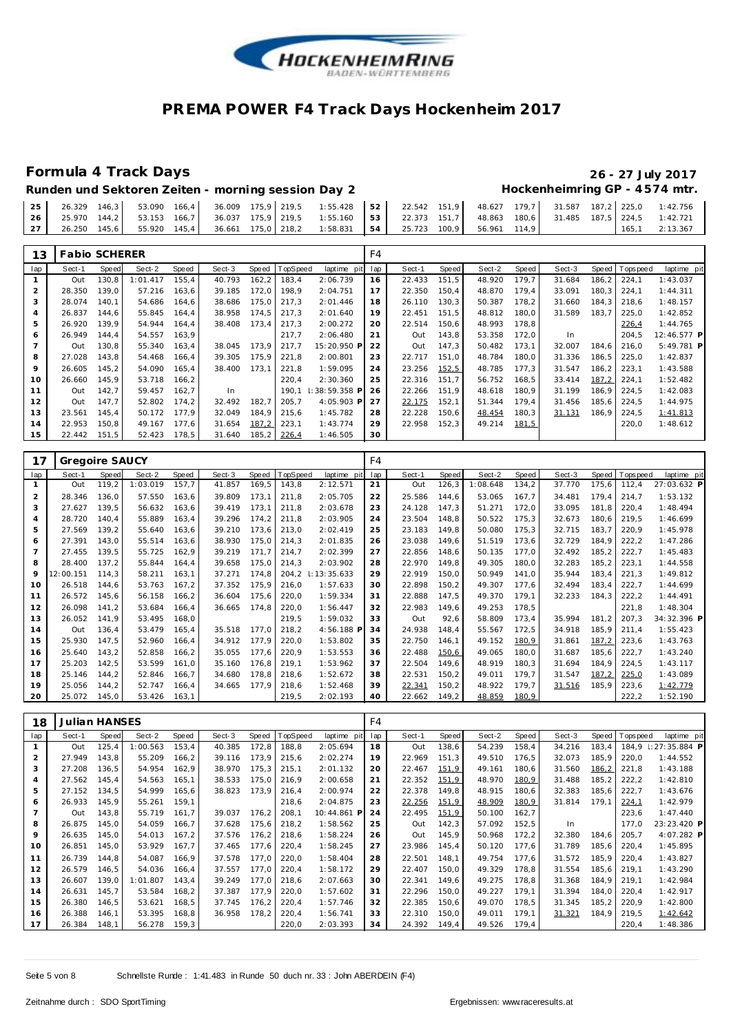

Runden und Sektoren Zeiten - morning session Day 2 **Hockenheimring GP** - 4574 mtr.

|  |  |  |  | $\begin{bmatrix} 25 & 26.329 & 146.3 \end{bmatrix}$ 53.090 166.4 36.009 175,9 219,5 1:55.428 52 22.542 151,9 48.627 179,7 31.587 187,2 225,0 1:42.756 |  |  |  |  |                  |
|--|--|--|--|-------------------------------------------------------------------------------------------------------------------------------------------------------|--|--|--|--|------------------|
|  |  |  |  | 26   25.970 144,2   53.153 166,7   36.037 175,9   219,5 1:55.160   53   22.373 151,7   48.863 180,6   31.485 187,5   224,5 1:42.721                   |  |  |  |  |                  |
|  |  |  |  | 27   26.250 145.6   55.920 145.4   36.661 175.0   218.2 1:58.831   54   25.723 100.9   56.961 114.9                                                   |  |  |  |  | $165.1$ 2:13.367 |

| 13             | <b>Fabio SCHERER</b> |       |          |       |        |       |                 |               | F4  |        |       |        |       |        |       |                   |             |
|----------------|----------------------|-------|----------|-------|--------|-------|-----------------|---------------|-----|--------|-------|--------|-------|--------|-------|-------------------|-------------|
| lap            | Sect-1               | Speed | Sect-2   | Speed | Sect-3 | Speed | <b>TopSpeed</b> | laptime pit   | lap | Sect-1 | Speed | Sect-2 | Speed | Sect-3 |       | Speed   Tops peed | laptime pit |
|                | Out                  | 130,8 | 1:01.417 | 155,4 | 40.793 | 162,2 | 183,4           | 2:06.739      | 16  | 22.433 | 151,5 | 48.920 | 179,7 | 31.684 | 186,2 | 224,1             | 1:43.037    |
| $\overline{2}$ | 28.350               | 139.0 | 57.216   | 163.6 | 39.185 | 172,0 | 198.9           | 2:04.751      | 17  | 22.350 | 150.4 | 48.870 | 179.4 | 33.091 | 180.3 | 224.1             | 1:44.311    |
| 3              | 28.074               | 140.1 | 54.686   | 164.6 | 38.686 | 175,0 | 217,3           | 2:01.446      | 18  | 26.110 | 130,3 | 50.387 | 178,2 | 31.660 | 184.3 | 218.6             | 1:48.157    |
| 4              | 26.837               | 144,6 | 55.845   | 164.4 | 38.958 | 174.5 | 217,3           | 2:01.640      | 19  | 22.451 | 151.5 | 48.812 | 180,0 | 31.589 | 183,7 | 225,0             | 1:42.852    |
| 5              | 26.920               | 139.9 | 54.944   | 164,4 | 38.408 | 173.4 | 217,3           | 2:00.272      | 20  | 22.514 | 150,6 | 48.993 | 178,8 |        |       | 226,4             | 1:44.765    |
| 6              | 26.949               | 144.4 | 54.557   | 163.9 |        |       | 217.7           | 2:06.480      | 21  | Out    | 143,8 | 53.358 | 172,0 | In     |       | 204.5             | 12:46.577 P |
|                | Out                  | 130,8 | 55.340   | 163,4 | 38.045 | 173,9 | 217,7           | 15:20.950 P   | 22  | Out    | 147,3 | 50.482 | 173,1 | 32.007 | 184,6 | 216,0             | 5:49.781 P  |
| 8              | 27.028               | 143,8 | 54.468   | 166,4 | 39.305 | 175,9 | 221,8           | 2:00.801      | 23  | 22.717 | 151,0 | 48.784 | 180,0 | 31.336 | 186,5 | 225,0             | 1:42.837    |
| 9              | 26.605               | 145,2 | 54.090   | 165,4 | 38.400 | 173,1 | 221,8           | 1:59.095      | 24  | 23.256 | 152,5 | 48.785 | 177,3 | 31.547 | 186,2 | 223,1             | 1:43.588    |
| 10             | 26.660               | 145,9 | 53.718   | 166,2 |        |       | 220,4           | 2:30.360      | 25  | 22.316 | 151,7 | 56.752 | 168,5 | 33.414 | 187,2 | 224,1             | 1:52.482    |
| 11             | Out                  | 142,7 | 59.457   | 162,7 | In     |       | 190.1           | : 38:59.358 P | 26  | 22.266 | 151.9 | 48.618 | 180,9 | 31.199 | 186.9 | 224,5             | 1:42.083    |
| 12             | Out                  | 147.7 | 52.802   | 174,2 | 32.492 | 182,7 | 205,7           | 4:05.903 P    | 27  | 22.175 | 152,1 | 51.344 | 179.4 | 31.456 | 185,6 | 224,5             | 1:44.975    |
| 13             | 23.561               | 145,4 | 50.172   | 177,9 | 32.049 | 184,9 | 215,6           | 1:45.782      | 28  | 22.228 | 150,6 | 48.454 | 180,3 | 31.131 | 186,9 | 224,5             | 1:41.813    |
| 14             | 22.953               | 150,8 | 49.167   | 177,6 | 31.654 | 187,2 | 223,1           | 1:43.774      | 29  | 22.958 | 152,3 | 49.214 | 181,5 |        |       | 220,0             | 1:48.612    |
| 15             | 22.442               | 151,5 | 52.423   | 178,5 | 31.640 | 185,2 | 226,4           | 1:46.505      | 30  |        |       |        |       |        |       |                   |             |

| 17             | Gregoire SAUCY |       |          |       |        |       |          |                | F4  |        |       |          |       |        |       |            |             |
|----------------|----------------|-------|----------|-------|--------|-------|----------|----------------|-----|--------|-------|----------|-------|--------|-------|------------|-------------|
| lap            | Sect-1         | Speed | Sect-2   | Speed | Sect-3 | Speed | TopSpeed | laptime<br>pit | lap | Sect-1 | Speed | Sect-2   | Speed | Sect-3 | Speed | Fops pee d | laptime pit |
| 1              | Out            | 119,2 | 1:03.019 | 157,7 | 41.857 | 169,5 | 143,8    | 2:12.571       | 21  | Out    | 126,3 | 1:08.648 | 134,2 | 37.770 | 175,6 | 112,4      | 27:03.632 P |
| $\overline{2}$ | 28.346         | 136,0 | 57.550   | 163,6 | 39.809 | 173,1 | 211,8    | 2:05.705       | 22  | 25.586 | 144.6 | 53.065   | 167.7 | 34.481 | 179.4 | 214,7      | 1:53.132    |
| 3              | 27.627         | 139,5 | 56.632   | 163,6 | 39.419 | 173,1 | 211,8    | 2:03.678       | 23  | 24.128 | 147,3 | 51.271   | 172,0 | 33.095 | 181,8 | 220,4      | 1:48.494    |
| 4              | 28.720         | 140.4 | 55.889   | 163,4 | 39.296 | 174.2 | 211,8    | 2:03.905       | 24  | 23.504 | 148,8 | 50.522   | 175,3 | 32.673 | 180,6 | 219.5      | 1:46.699    |
| 5              | 27.569         | 139.2 | 55.640   | 163,6 | 39.210 | 173,6 | 213,0    | 2:02.419       | 25  | 23.183 | 149.8 | 50.080   | 175,3 | 32.715 | 183,7 | 220,9      | 1:45.978    |
| 6              | 27.391         | 143,0 | 55.514   | 163,6 | 38.930 | 175,0 | 214,3    | 2:01.835       | 26  | 23.038 | 149,6 | 51.519   | 173,6 | 32.729 | 184,9 | 222,2      | 1:47.286    |
| $\overline{7}$ | 27.455         | 139,5 | 55.725   | 162,9 | 39.219 | 171,7 | 214,7    | 2:02.399       | 27  | 22.856 | 148,6 | 50.135   | 177,0 | 32.492 | 185,2 | 222,7      | 1:45.483    |
| 8              | 28.400         | 137,2 | 55.844   | 164.4 | 39.658 | 175,0 | 214,3    | 2:03.902       | 28  | 22.970 | 149,8 | 49.305   | 180,0 | 32.283 | 185,2 | 223,1      | 1:44.558    |
| 9              | 12:00.151      | 114,3 | 58.211   | 163,1 | 37.271 | 174.8 | 204,2    | 1:13:35.633    | 29  | 22.919 | 150,0 | 50.949   | 141,0 | 35.944 | 183,4 | 221,3      | 1:49.812    |
| 10             | 26.518         | 144.6 | 53.763   | 167,2 | 37.352 | 175,9 | 216,0    | 1:57.633       | 30  | 22.898 | 150,2 | 49.307   | 177,6 | 32.494 | 183,4 | 222,7      | 1:44.699    |
| 11             | 26.572         | 145,6 | 56.158   | 166,2 | 36.604 | 175,6 | 220,0    | 1:59.334       | 31  | 22.888 | 147,5 | 49.370   | 179,1 | 32.233 | 184,3 | 222,2      | 1:44.491    |
| 12             | 26.098         | 141,2 | 53.684   | 166.4 | 36.665 | 174.8 | 220,0    | 1:56.447       | 32  | 22.983 | 149.6 | 49.253   | 178,5 |        |       | 221.8      | 1:48.304    |
| 13             | 26.052         | 141,9 | 53.495   | 168,0 |        |       | 219,5    | 1:59.032       | 33  | Out    | 92,6  | 58.809   | 173,4 | 35.994 | 181,2 | 207,3      | 34:32.396 P |
| 14             | Out            | 136,4 | 53.479   | 165,4 | 35.518 | 177,0 | 218,2    | 4:56.188 P     | 34  | 24.938 | 148,4 | 55.567   | 172,5 | 34.918 | 185,9 | 211.4      | 1:55.423    |
| 15             | 25.930         | 147,5 | 52.960   | 166,4 | 34.912 | 177.9 | 220,0    | 1:53.802       | 35  | 22.750 | 146.1 | 49.152   | 180,9 | 31.861 | 187,2 | 223,6      | 1:43.763    |
| 16             | 25.640         | 143,2 | 52.858   | 166,2 | 35.055 | 177,6 | 220,9    | 1:53.553       | 36  | 22.488 | 150,6 | 49.065   | 180,0 | 31.687 | 185,6 | 222,7      | 1:43.240    |
| 17             | 25.203         | 142,5 | 53.599   | 161,0 | 35.160 | 176,8 | 219,1    | 1:53.962       | 37  | 22.504 | 149,6 | 48.919   | 180,3 | 31.694 | 184,9 | 224,5      | 1:43.117    |
| 18             | 25.146         | 144,2 | 52.846   | 166,7 | 34.680 | 178,8 | 218,6    | 1:52.672       | 38  | 22.531 | 150,2 | 49.011   | 179,7 | 31.547 | 187,2 | 225,0      | 1:43.089    |
| 19             | 25.056         | 144,2 | 52.747   | 166,4 | 34.665 | 177,9 | 218,6    | 1:52.468       | 39  | 22.341 | 150,2 | 48.922   | 179,7 | 31.516 | 185,9 | 223,6      | 1:42.779    |
| 20             | 25.072         | 145,0 | 53.426   | 163,1 |        |       | 219,5    | 2:02.193       | 40  | 22.662 | 149,2 | 48.859   | 180,9 |        |       | 222,2      | 1:52.190    |

| 18             | Julian HANSES |       |          |       |        |       |          |             | F4  |        |       |        |       |        |       |            |                 |
|----------------|---------------|-------|----------|-------|--------|-------|----------|-------------|-----|--------|-------|--------|-------|--------|-------|------------|-----------------|
| lap            | Sect-1        | Speed | Sect-2   | Speed | Sect-3 | Speed | TopSpeed | laptime pit | lap | Sect-1 | Speed | Sect-2 | Speed | Sect-3 | Speed | T ops peed | laptime pit     |
|                | Out           | 125,4 | 1:00.563 | 153,4 | 40.385 | 172,8 | 188,8    | 2:05.694    | 18  | Out    | 138,6 | 54.239 | 158,4 | 34.216 | 183,4 | 184,9      | $1:27:35.884$ P |
| 2              | 27.949        | 143.8 | 55.209   | 166,2 | 39.116 | 173.9 | 215,6    | 2:02.274    | 19  | 22.969 | 151,3 | 49.510 | 176.5 | 32.073 | 185,9 | 220,0      | 1:44.552        |
| 3              | 27.208        | 136,5 | 54.954   | 162,9 | 38.970 | 175,3 | 215,1    | 2:01.132    | 20  | 22.467 | 151,9 | 49.161 | 180,6 | 31.560 | 186,2 | 221,8      | 1:43.188        |
| 4              | 27.562        | 145,4 | 54.563   | 165,1 | 38.533 | 175,0 | 216,9    | 2:00.658    | 21  | 22.352 | 151,9 | 48.970 | 180,9 | 31.488 | 185,2 | 222,2      | 1:42.810        |
| 5              | 27.152        | 134,5 | 54.999   | 165,6 | 38.823 | 173,9 | 216,4    | 2:00.974    | 22  | 22.378 | 149,8 | 48.915 | 180,6 | 32.383 | 185,6 | 222,7      | 1:43.676        |
| 6              | 26.933        | 145,9 | 55.261   | 159,1 |        |       | 218,6    | 2:04.875    | 23  | 22.256 | 151,9 | 48.909 | 180,9 | 31.814 | 179,1 | 224,1      | 1:42.979        |
| $\overline{7}$ | Out           | 143,8 | 55.719   | 161.7 | 39.037 | 176,2 | 208,1    | 10:44.861 P | 24  | 22.495 | 151,9 | 50.100 | 162,7 |        |       | 223,6      | 1:47.440        |
| 8              | 26.875        | 145,0 | 54.059   | 166.7 | 37.628 | 175,6 | 218,2    | 1:58.562    | 25  | Out    | 142,3 | 57.092 | 152,5 | In.    |       | 177.0      | 23:23.420 P     |
| 9              | 26.635        | 145.0 | 54.013   | 167.2 | 37.576 | 176.2 | 218,6    | 1:58.224    | 26  | Out    | 145.9 | 50.968 | 172.2 | 32.380 | 184.6 | 205.7      | 4:07.282 P      |
| 10             | 26.851        | 145,0 | 53.929   | 167,7 | 37.465 | 177,6 | 220,4    | 1:58.245    | 27  | 23.986 | 145,4 | 50.120 | 177,6 | 31.789 | 185,6 | 220,4      | 1:45.895        |
| 11             | 26.739        | 144.8 | 54.087   | 166,9 | 37.578 | 177,0 | 220,0    | 1:58.404    | 28  | 22.501 | 148.1 | 49.754 | 177,6 | 31.572 | 185,9 | 220,4      | 1:43.827        |
| 12             | 26.579        | 146,5 | 54.036   | 166.4 | 37.557 | 177.0 | 220,4    | 1:58.172    | 29  | 22.407 | 150,0 | 49.329 | 178.8 | 31.554 | 185,6 | 219.1      | 1:43.290        |
| 13             | 26.607        | 139.0 | 1:01.807 | 143,4 | 39.249 | 177,0 | 218,6    | 2:07.663    | 30  | 22.341 | 149.6 | 49.275 | 178.8 | 31.368 | 184.9 | 219.1      | 1:42.984        |
| 14             | 26.631        | 145,7 | 53.584   | 168,2 | 37.387 | 177,9 | 220,0    | 1:57.602    | 31  | 22.296 | 150,0 | 49.227 | 179,1 | 31.394 | 184,0 | 220,4      | 1:42.917        |
| 15             | 26.380        | 146,5 | 53.621   | 168,5 | 37.745 | 176,2 | 220,4    | 1:57.746    | 32  | 22.385 | 150,6 | 49.070 | 178,5 | 31.345 | 185,2 | 220,9      | 1:42.800        |
| 16             | 26.388        | 146,1 | 53.395   | 168,8 | 36.958 | 178,2 | 220,4    | 1:56.741    | 33  | 22.310 | 150,0 | 49.011 | 179,1 | 31.321 | 184,9 | 219,5      | 1:42.642        |
| 17             | 26.384        | 148.1 | 56.278   | 159,3 |        |       | 220,0    | 2:03.393    | 34  | 24.392 | 149,4 | 49.526 | 179,4 |        |       | 220,4      | 1:48.386        |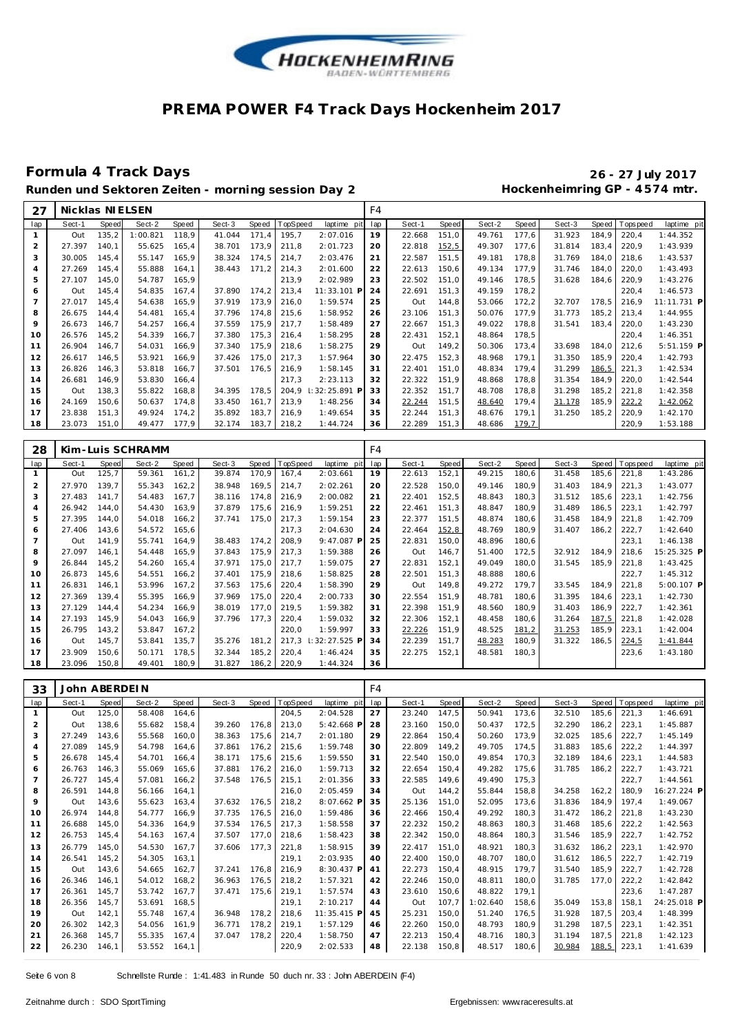

## **Formula 4 Track Days 26 - 27 July 2017**

# Runden und Sektoren Zeiten - morning session Day 2 **Hockenheimring GP** - 4574 mtr.

| 27             | Nicklas NIELSEN |       |          |       |        |       |          |                 | F4  |        |       |        |       |        |        |                |             |
|----------------|-----------------|-------|----------|-------|--------|-------|----------|-----------------|-----|--------|-------|--------|-------|--------|--------|----------------|-------------|
| lap            | Sect-1          | Speed | Sect-2   | Speed | Sect-3 | Speed | TopSpeed | laptime pit     | lap | Sect-1 | Speed | Sect-2 | Speed | Sect-3 |        | Speed Topspeed | laptime pit |
|                | Out             | 135,2 | 1:00.821 | 118.9 | 41.044 | 171,4 | 195,7    | 2:07.016        | 19  | 22.668 | 151,0 | 49.761 | 177.6 | 31.923 | 184,9  | 220,4          | 1:44.352    |
| 2              | 27.397          | 140.1 | 55.625   | 165.4 | 38.701 | 173.9 | 211.8    | 2:01.723        | 20  | 22.818 | 152,5 | 49.307 | 177,6 | 31.814 | 183.4  | 220,9          | 1:43.939    |
| 3              | 30.005          | 145,4 | 55.147   | 165,9 | 38.324 | 174,5 | 214,7    | 2:03.476        | 21  | 22.587 | 151,5 | 49.181 | 178,8 | 31.769 | 184.0  | 218,6          | 1:43.537    |
| $\overline{A}$ | 27.269          | 145.4 | 55.888   | 164.1 | 38.443 | 171.2 | 214,3    | 2:01.600        | 22  | 22.613 | 150,6 | 49.134 | 177.9 | 31.746 | 184,0  | 220,0          | 1:43.493    |
| 5              | 27.107          | 145,0 | 54.787   | 165,9 |        |       | 213,9    | 2:02.989        | 23  | 22.502 | 151,0 | 49.146 | 178.5 | 31.628 | 184,6  | 220,9          | 1:43.276    |
| 6              | Out             | 145.4 | 54.835   | 167.4 | 37.890 | 174,2 | 213,4    | 11:33.101 P     | 24  | 22.691 | 151,3 | 49.159 | 178,2 |        |        | 220,4          | 1:46.573    |
| $\overline{7}$ | 27.017          | 145,4 | 54.638   | 165,9 | 37.919 | 173,9 | 216,0    | 1:59.574        | 25  | Out    | 144,8 | 53.066 | 172,2 | 32.707 | 178.5  | 216,9          | 11:11.731 P |
| 8              | 26.675          | 144.4 | 54.481   | 165,4 | 37.796 | 174,8 | 215,6    | 1:58.952        | 26  | 23.106 | 151,3 | 50.076 | 177,9 | 31.773 | 185,2  | 213,4          | 1:44.955    |
| 9              | 26.673          | 146,7 | 54.257   | 166,4 | 37.559 | 175,9 | 217,7    | 1:58.489        | 27  | 22.667 | 151,3 | 49.022 | 178,8 | 31.541 | 183,4  | 220,0          | 1:43.230    |
| 10             | 26.576          | 145,2 | 54.339   | 166.7 | 37.380 | 175,3 | 216,4    | 1:58.295        | 28  | 22.431 | 152,1 | 48.864 | 178,5 |        |        | 220,4          | 1:46.351    |
| 11             | 26.904          | 146,7 | 54.031   | 166,9 | 37.340 | 175,9 | 218,6    | 1:58.275        | 29  | Out    | 149,2 | 50.306 | 173,4 | 33.698 | 184,0  | 212,6          | 5:51.159 P  |
| 12             | 26.617          | 146,5 | 53.921   | 166.9 | 37.426 | 175,0 | 217.3    | 1:57.964        | 30  | 22.475 | 152,3 | 48.968 | 179.1 | 31.350 | 185,9  | 220,4          | 1:42.793    |
| 13             | 26.826          | 146,3 | 53.818   | 166,7 | 37.501 | 176,5 | 216,9    | 1:58.145        | 31  | 22.401 | 151.0 | 48.834 | 179.4 | 31.299 | 186, 5 | 221,3          | 1:42.534    |
| 14             | 26.681          | 146,9 | 53.830   | 166,4 |        |       | 217,3    | 2:23.113        | 32  | 22.322 | 151,9 | 48.868 | 178,8 | 31.354 | 184.9  | 220,0          | 1:42.544    |
| 15             | Out             | 138,3 | 55.822   | 168.8 | 34.395 | 178,5 | 204.9    | I: 32: 25.891 P | 33  | 22.352 | 151.7 | 48.708 | 178,8 | 31.298 | 185,2  | 221,8          | 1:42.358    |
| 16             | 24.169          | 150,6 | 50.637   | 174,8 | 33.450 | 161,7 | 213,9    | 1:48.256        | 34  | 22.244 | 151,5 | 48.640 | 179,4 | 31.178 | 185,9  | 222,2          | 1:42.062    |
| 17             | 23.838          | 151,3 | 49.924   | 174,2 | 35.892 | 183,7 | 216,9    | 1:49.654        | 35  | 22.244 | 151,3 | 48.676 | 179,1 | 31.250 | 185,2  | 220,9          | 1:42.170    |
| 18             | 23.073          | 151,0 | 49.477   | 177,9 | 32.174 | 183,7 | 218,2    | 1:44.724        | 36  | 22.289 | 151,3 | 48.686 | 179,7 |        |        | 220,9          | 1:53.188    |

| 28  |        |              | Kim-Luis SCHRAMM |       |        |        |          |                | F4  |        |       |        |       |        |       |            |             |
|-----|--------|--------------|------------------|-------|--------|--------|----------|----------------|-----|--------|-------|--------|-------|--------|-------|------------|-------------|
| lap | Sect-1 | <b>Speed</b> | Sect-2           | Speed | Sect-3 | Speed  | TopSpeed | laptime pit    | lap | Sect-1 | Speed | Sect-2 | Speed | Sect-3 | Speed | T ops peed | laptime pit |
|     | Out    | 125,7        | 59.361           | 161,2 | 39.874 | 170,9  | 167,4    | 2:03.661       | 19  | 22.613 | 152,1 | 49.215 | 180,6 | 31.458 | 185,6 | 221,8      | 1:43.286    |
| 2   | 27.970 | 139.7        | 55.343           | 162,2 | 38.948 | 169,5  | 214,7    | 2:02.261       | 20  | 22.528 | 150,0 | 49.146 | 180,9 | 31.403 | 184.9 | 221,3      | 1:43.077    |
| 3   | 27.483 | 141.7        | 54.483           | 167,7 | 38.116 | 174,8  | 216,9    | 2:00.082       | 21  | 22.401 | 152,5 | 48.843 | 180,3 | 31.512 | 185,6 | 223,1      | 1:42.756    |
| 4   | 26.942 | 144.0        | 54.430           | 163,9 | 37.879 | 175,6  | 216,9    | 1:59.251       | 22  | 22.461 | 151.3 | 48.847 | 180.9 | 31.489 | 186,5 | 223,1      | 1:42.797    |
| 5   | 27.395 | 144,0        | 54.018           | 166,2 | 37.741 | 175,0  | 217,3    | 1:59.154       | 23  | 22.377 | 151,5 | 48.874 | 180,6 | 31.458 | 184,9 | 221,8      | 1:42.709    |
| 6   | 27.406 | 143,6        | 54.572           | 165,6 |        |        | 217,3    | 2:04.630       | 24  | 22.464 | 152,8 | 48.769 | 180,9 | 31.407 | 186,2 | 222,7      | 1:42.640    |
|     | Out    | 141.9        | 55.741           | 164.9 | 38.483 | 174.2  | 208,9    | $9:47.087$ P   | 25  | 22.831 | 150,0 | 48.896 | 180,6 |        |       | 223,1      | 1:46.138    |
| 8   | 27.097 | 146.1        | 54.448           | 165.9 | 37.843 | 175,9  | 217,3    | 1:59.388       | 26  | Out    | 146.7 | 51.400 | 172,5 | 32.912 | 184.9 | 218.6      | 15:25.325 P |
| 9   | 26.844 | 145.2        | 54.260           | 165,4 | 37.971 | 175,0  | 217.7    | 1:59.075       | 27  | 22.831 | 152,1 | 49.049 | 180.0 | 31.545 | 185.9 | 221,8      | 1:43.425    |
| 10  | 26.873 | 145,6        | 54.551           | 166,2 | 37.401 | 175,9  | 218,6    | 1:58.825       | 28  | 22.501 | 151.3 | 48.888 | 180,6 |        |       | 222,7      | 1:45.312    |
| 11  | 26.831 | 146,1        | 53.996           | 167,2 | 37.563 | 175,6  | 220,4    | 1:58.390       | 29  | Out    | 149,8 | 49.272 | 179,7 | 33.545 | 184,9 | 221,8      | 5:00.107 P  |
| 12  | 27.369 | 139.4        | 55.395           | 166,9 | 37.969 | 175,0  | 220,4    | 2:00.733       | 30  | 22.554 | 151.9 | 48.781 | 180.6 | 31.395 | 184,6 | 223,1      | 1:42.730    |
| 13  | 27.129 | 144.4        | 54.234           | 166,9 | 38.019 | 177.0  | 219.5    | 1:59.382       | 31  | 22.398 | 151.9 | 48.560 | 180,9 | 31.403 | 186,9 | 222,7      | 1:42.361    |
| 14  | 27.193 | 145.9        | 54.043           | 166.9 | 37.796 | 177.3  | 220,4    | 1:59.032       | 32  | 22.306 | 152,1 | 48.458 | 180,6 | 31.264 | 187,5 | 221,8      | 1:42.028    |
| 15  | 26.795 | 143.2        | 53.847           | 167.2 |        |        | 220,0    | 1:59.997       | 33  | 22.226 | 151,9 | 48.525 | 181,2 | 31.253 | 185,9 | 223,1      | 1:42.004    |
| 16  | Out    | 145.7        | 53.841           | 135.7 | 35.276 | 181,2  | 217.3    | $:32:27.525$ F | 34  | 22.239 | 151,7 | 48.283 | 180,9 | 31.322 | 186.5 | 224,5      | 1:41.844    |
| 17  | 23.909 | 150,6        | 50.171           | 178,5 | 32.344 | 185,2  | 220,4    | 1:46.424       | 35  | 22.275 | 152,1 | 48.581 | 180.3 |        |       | 223,6      | 1:43.180    |
| 18  | 23.096 | 150.8        | 49.401           | 180.9 | 31.827 | 186, 2 | 220,9    | 1:44.324       | 36  |        |       |        |       |        |       |            |             |

| 33             |        | John ABERDEIN |        |       |        |       |          |              | F4  |        |       |          |       |        |       |            |             |
|----------------|--------|---------------|--------|-------|--------|-------|----------|--------------|-----|--------|-------|----------|-------|--------|-------|------------|-------------|
| lap            | Sect-1 | <b>Speed</b>  | Sect-2 | Speed | Sect-3 | Speed | TopSpeed | laptime pit  | lap | Sect-1 | Speed | Sect-2   | Speed | Sect-3 | Speed | T ops peed | laptime pit |
| $\mathbf{1}$   | Out    | 125,0         | 58.408 | 164,6 |        |       | 204,5    | 2:04.528     | 27  | 23.240 | 147,5 | 50.941   | 173,6 | 32.510 | 185,6 | 221,3      | 1:46.691    |
| $\overline{2}$ | Out    | 138,6         | 55.682 | 158.4 | 39.260 | 176.8 | 213,0    | $5:42.668$ P | 28  | 23.160 | 150.0 | 50.437   | 172,5 | 32.290 | 186.2 | 223.1      | 1:45.887    |
| 3              | 27.249 | 143,6         | 55.568 | 160.0 | 38.363 | 175,6 | 214,7    | 2:01.180     | 29  | 22.864 | 150.4 | 50.260   | 173,9 | 32.025 | 185,6 | 222,7      | 1:45.149    |
| $\overline{4}$ | 27.089 | 145,9         | 54.798 | 164,6 | 37.861 | 176,2 | 215,6    | 1:59.748     | 30  | 22.809 | 149,2 | 49.705   | 174,5 | 31.883 | 185,6 | 222,2      | 1:44.397    |
| 5              | 26.678 | 145,4         | 54.701 | 166.4 | 38.171 | 175.6 | 215,6    | 1:59.550     | 31  | 22.540 | 150.0 | 49.854   | 170.3 | 32.189 | 184.6 | 223,1      | 1:44.583    |
| 6              | 26.763 | 146,3         | 55.069 | 165,6 | 37.881 | 176.2 | 216,0    | 1:59.713     | 32  | 22.654 | 150,4 | 49.282   | 175,6 | 31.785 | 186,2 | 222,7      | 1:43.721    |
| $\overline{7}$ | 26.727 | 145.4         | 57.081 | 166.2 | 37.548 | 176,5 | 215,1    | 2:01.356     | 33  | 22.585 | 149.6 | 49.490   | 175.3 |        |       | 222.7      | 1:44.561    |
| 8              | 26.591 | 144,8         | 56.166 | 164.1 |        |       | 216,0    | 2:05.459     | 34  | Out    | 144,2 | 55.844   | 158,8 | 34.258 | 162,2 | 180.9      | 16:27.224 P |
| 9              | Out    | 143,6         | 55.623 | 163.4 | 37.632 | 176,5 | 218,2    | 8:07.662 P   | 35  | 25.136 | 151.0 | 52.095   | 173,6 | 31.836 | 184.9 | 197.4      | 1:49.067    |
| 10             | 26.974 | 144.8         | 54.777 | 166.9 | 37.735 | 176.5 | 216,0    | 1:59.486     | 36  | 22.466 | 150.4 | 49.292   | 180.3 | 31.472 | 186.2 | 221.8      | 1:43.230    |
| 11             | 26.688 | 145,0         | 54.336 | 164.9 | 37.534 | 176.5 | 217,3    | 1:58.558     | 37  | 22.232 | 150.2 | 48.863   | 180,3 | 31.468 | 185,6 | 222,2      | 1:42.563    |
| 12             | 26.753 | 145,4         | 54.163 | 167,4 | 37.507 | 177,0 | 218,6    | 1:58.423     | 38  | 22.342 | 150,0 | 48.864   | 180,3 | 31.546 | 185,9 | 222,7      | 1:42.752    |
| 13             | 26.779 | 145.0         | 54.530 | 167.7 | 37.606 | 177,3 | 221,8    | 1:58.915     | 39  | 22.417 | 151.0 | 48.921   | 180.3 | 31.632 | 186.2 | 223.1      | 1:42.970    |
| 14             | 26.541 | 145,2         | 54.305 | 163.1 |        |       | 219,1    | 2:03.935     | 40  | 22.400 | 150.0 | 48.707   | 180.0 | 31.612 | 186,5 | 222,7      | 1:42.719    |
| 15             | Out    | 143,6         | 54.665 | 162,7 | 37.241 | 176,8 | 216,9    | 8:30.437 P   | 41  | 22.273 | 150,4 | 48.915   | 179,7 | 31.540 | 185,9 | 222,7      | 1:42.728    |
| 16             | 26.346 | 146.1         | 54.012 | 168.2 | 36.963 | 176.5 | 218,2    | 1:57.321     | 42  | 22.246 | 150.0 | 48.811   | 180.0 | 31.785 | 177.0 | 222,2      | 1:42.842    |
| 17             | 26.361 | 145,7         | 53.742 | 167.7 | 37.471 | 175.6 | 219,1    | 1:57.574     | 43  | 23.610 | 150,6 | 48.822   | 179.1 |        |       | 223,6      | 1:47.287    |
| 18             | 26.356 | 145.7         | 53.691 | 168.5 |        |       | 219,1    | 2:10.217     | 44  | Out    | 107.7 | 1:02.640 | 158.6 | 35.049 | 153.8 | 158.1      | 24:25.018 P |
| 19             | Out    | 142,1         | 55.748 | 167.4 | 36.948 | 178.2 | 218,6    | 11:35.415 P  | 45  | 25.231 | 150.0 | 51.240   | 176.5 | 31.928 | 187.5 | 203.4      | 1:48.399    |
| 20             | 26.302 | 142,3         | 54.056 | 161,9 | 36.771 | 178,2 | 219,1    | 1:57.129     | 46  | 22.260 | 150,0 | 48.793   | 180,9 | 31.298 | 187,5 | 223,1      | 1:42.351    |
| 21             | 26.368 | 145.7         | 55.335 | 167.4 | 37.047 | 178.2 | 220,4    | 1:58.750     | 47  | 22.213 | 150.4 | 48.716   | 180.3 | 31.194 | 187.5 | 221,8      | 1:42.123    |
| 22             | 26.230 | 146.1         | 53.552 | 164.1 |        |       | 220,9    | 2:02.533     | 48  | 22.138 | 150.8 | 48.517   | 180.6 | 30.984 | 188.5 | 223,1      | 1:41.639    |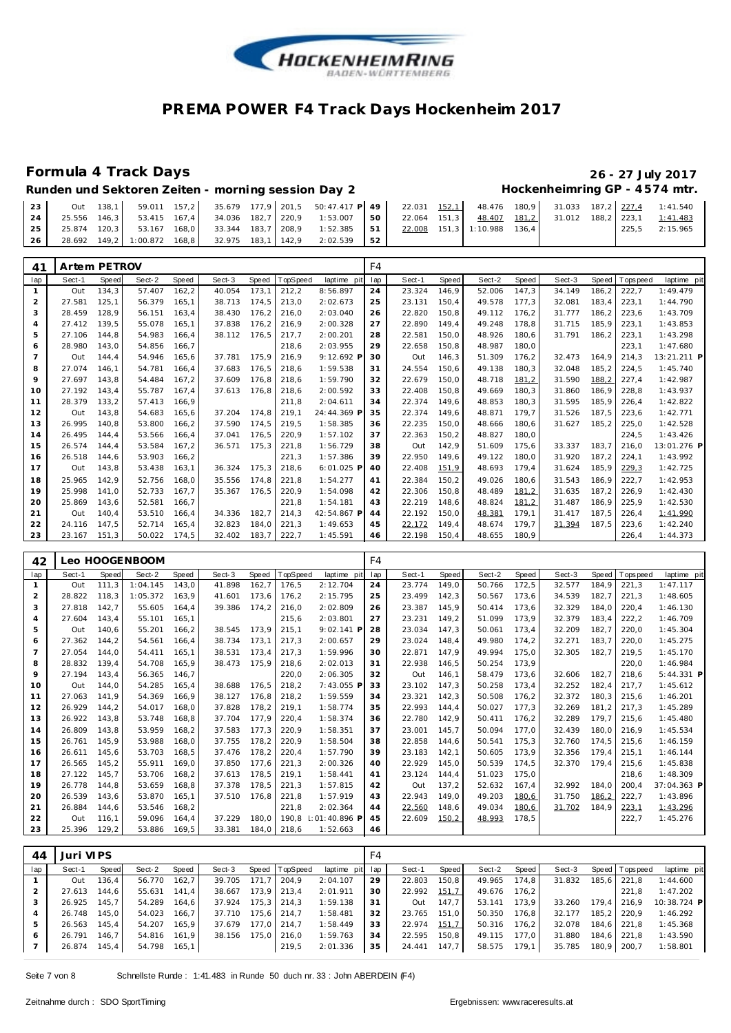

# **Formula 4 Track Days 26 - 27 July 2017**

### Runden und Sektoren Zeiten - morning session Day 2 **Hockenheimring GP** - 4574 mtr.

| 23 |  |                                                |  |  | Out 138,1 59.011 157,2 35.679 177,9 201,5 50:47.417 P 49 22.031 152.1 48.476 180,9 31.033 187,2 227.4 1:41.540 |    |  |        |                                   |       |          |
|----|--|------------------------------------------------|--|--|----------------------------------------------------------------------------------------------------------------|----|--|--------|-----------------------------------|-------|----------|
| 24 |  |                                                |  |  | 25.556 146.3 53.415 167.4 34.036 182.7 220.9 1:53.007 50 22.064 151.3                                          |    |  | 48.407 | 181,2 31.012 188,2 223,1 1:41.483 |       |          |
| 25 |  |                                                |  |  | 25.874 120,3 53.167 168,0 33.344 183,7 208,9 1:52.385 51 22.008 151,3 1:10.988 136,4                           |    |  |        |                                   | 225.5 | 2:15.965 |
| 26 |  | 28.692 149,2 1:00.872 168,8 32.975 183,1 142,9 |  |  | 2:02.539                                                                                                       | 52 |  |        |                                   |       |          |

| 41  | Artem PETROV |              |        |       |        |       |          |             | F4  |        |              |        |       |        |       |             |             |
|-----|--------------|--------------|--------|-------|--------|-------|----------|-------------|-----|--------|--------------|--------|-------|--------|-------|-------------|-------------|
| lap | Sect-1       | <b>Speed</b> | Sect-2 | Speed | Sect-3 | Speed | TopSpeed | laptime pit | lap | Sect-1 | <b>Speed</b> | Sect-2 | Speed | Sect-3 | Speed | T ops pee d | laptime pit |
|     | Out          | 134,3        | 57.407 | 162,2 | 40.054 | 173,1 | 212,2    | 8:56.897    | 24  | 23.324 | 146,9        | 52.006 | 147.3 | 34.149 | 186,2 | 222,7       | 1:49.479    |
| 2   | 27.581       | 125.1        | 56.379 | 165.1 | 38.713 | 174.5 | 213,0    | 2:02.673    | 25  | 23.131 | 150,4        | 49.578 | 177.3 | 32.081 | 183.4 | 223,1       | 1:44.790    |
| 3   | 28.459       | 128.9        | 56.151 | 163.4 | 38.430 | 176.2 | 216,0    | 2:03.040    | 26  | 22.820 | 150.8        | 49.112 | 176.2 | 31.777 | 186.2 | 223,6       | 1:43.709    |
| 4   | 27.412       | 139.5        | 55.078 | 165.1 | 37.838 | 176.2 | 216,9    | 2:00.328    | 27  | 22.890 | 149.4        | 49.248 | 178.8 | 31.715 | 185.9 | 223.1       | 1:43.853    |
| 5   | 27.106       | 144.8        | 54.983 | 166,4 | 38.112 | 176.5 | 217,7    | 2:00.201    | 28  | 22.581 | 150.0        | 48.926 | 180,6 | 31.791 | 186,2 | 223,1       | 1:43.298    |
| 6   | 28.980       | 143.0        | 54.856 | 166.7 |        |       | 218,6    | 2:03.955    | 29  | 22.658 | 150.8        | 48.987 | 180.0 |        |       | 223,1       | 1:47.680    |
|     | Out          | 144.4        | 54.946 | 165.6 | 37.781 | 175.9 | 216,9    | 9:12.692 F  | 30  | Out    | 146.3        | 51.309 | 176,2 | 32.473 | 164.9 | 214,3       | 13:21.211 P |
| 8   | 27.074       | 146.1        | 54.781 | 166.4 | 37.683 | 176,5 | 218,6    | 1:59.538    | 31  | 24.554 | 150.6        | 49.138 | 180,3 | 32.048 | 185,2 | 224,5       | 1:45.740    |
| 9   | 27.697       | 143.8        | 54.484 | 167.2 | 37.609 | 176.8 | 218,6    | 1:59.790    | 32  | 22.679 | 150.0        | 48.718 | 181,2 | 31.590 | 188,2 | 227,4       | 1:42.987    |
| 10  | 27.192       | 143.4        | 55.787 | 167.4 | 37.613 | 176.8 | 218.6    | 2:00.592    | 33  | 22.408 | 150.8        | 49.669 | 180.3 | 31.860 | 186,9 | 228,8       | 1:43.937    |
| 11  | 28.379       | 133.2        | 57.413 | 166.9 |        |       | 211.8    | 2:04.611    | 34  | 22.374 | 149.6        | 48.853 | 180.3 | 31.595 | 185.9 | 226,4       | 1:42.822    |
| 12  | Out          | 143,8        | 54.683 | 165.6 | 37.204 | 174.8 | 219,1    | 24:44.369 F | 35  | 22.374 | 149,6        | 48.871 | 179,7 | 31.526 | 187.5 | 223,6       | 1:42.771    |
| 13  | 26.995       | 140.8        | 53.800 | 166,2 | 37.590 | 174,5 | 219,5    | 1:58.385    | 36  | 22.235 | 150,0        | 48.666 | 180,6 | 31.627 | 185,2 | 225,0       | 1:42.528    |
| 14  | 26.495       | 144.4        | 53.566 | 166.4 | 37.041 | 176.5 | 220,9    | 1:57.102    | 37  | 22.363 | 150,2        | 48.827 | 180.0 |        |       | 224.5       | 1:43.426    |
| 15  | 26.574       | 144.4        | 53.584 | 167.2 | 36.571 | 175.3 | 221,8    | 1:56.729    | 38  | Out    | 142,9        | 51.609 | 175.6 | 33.337 | 183.7 | 216.0       | 13:01.276 P |
| 16  | 26.518       | 144,6        | 53.903 | 166,2 |        |       | 221,3    | 1:57.386    | 39  | 22.950 | 149,6        | 49.122 | 180,0 | 31.920 | 187,2 | 224,1       | 1:43.992    |
| 17  | Out          | 143,8        | 53.438 | 163,1 | 36.324 | 175,3 | 218,6    | 6:01.025 P  | 40  | 22.408 | 151,9        | 48.693 | 179,4 | 31.624 | 185,9 | 229,3       | 1:42.725    |
| 18  | 25.965       | 142.9        | 52.756 | 168.0 | 35.556 | 174.8 | 221,8    | 1:54.277    | 41  | 22.384 | 150.2        | 49.026 | 180.6 | 31.543 | 186.9 | 222,7       | 1:42.953    |
| 19  | 25.998       | 141.0        | 52.733 | 167.7 | 35.367 | 176.5 | 220,9    | 1:54.098    | 42  | 22.306 | 150.8        | 48.489 | 181,2 | 31.635 | 187,2 | 226.9       | 1:42.430    |
| 20  | 25.869       | 143.6        | 52.581 | 166.7 |        |       | 221,8    | 1:54.181    | 43  | 22.219 | 148,6        | 48.824 | 181,2 | 31.487 | 186,9 | 225,9       | 1:42.530    |
| 21  | Out          | 140.4        | 53.510 | 166,4 | 34.336 | 182,7 | 214,3    | 42:54.867 P | 44  | 22.192 | 150,0        | 48.381 | 179,1 | 31.417 | 187,5 | 226,4       | 1:41.990    |
| 22  | 24.116       | 147.5        | 52.714 | 165.4 | 32.823 | 184,0 | 221,3    | 1:49.653    | 45  | 22.172 | 149.4        | 48.674 | 179.7 | 31.394 | 187.5 | 223,6       | 1:42.240    |
| 23  | 23.167       | 151.3        | 50.022 | 174,5 | 32.402 | 183.7 | 222.7    | 1:45.591    | 46  | 22.198 | 150.4        | 48.655 | 180.9 |        |       | 226.4       | 1:44.373    |

| 42             |        |       | Leo HOOGENBOOM |       |        |       |          |              | F <sub>4</sub> |        |       |        |       |        |       |                   |              |
|----------------|--------|-------|----------------|-------|--------|-------|----------|--------------|----------------|--------|-------|--------|-------|--------|-------|-------------------|--------------|
| lap            | Sect-1 | Speed | Sect-2         | Speed | Sect-3 | Speed | TopSpeed | laptime pit  | lap            | Sect-1 | Speed | Sect-2 | Speed | Sect-3 | Speed | <b>T</b> ops peed | laptime pit  |
| $\mathbf{1}$   | Out    | 111.3 | 1:04.145       | 143.0 | 41.898 | 162,7 | 176.5    | 2:12.704     | 24             | 23.774 | 149.0 | 50.766 | 172,5 | 32.577 | 184.9 | 221.3             | 1:47.117     |
| 2              | 28.822 | 118.3 | 1:05.372       | 163.9 | 41.601 | 173,6 | 176,2    | 2:15.795     | 25             | 23.499 | 142,3 | 50.567 | 173,6 | 34.539 | 182,7 | 221,3             | 1:48.605     |
| 3              | 27.818 | 142.7 | 55.605         | 164.4 | 39.386 | 174.2 | 216.0    | 2:02.809     | 26             | 23.387 | 145.9 | 50.414 | 173.6 | 32.329 | 184.0 | 220.4             | 1:46.130     |
| $\overline{4}$ | 27.604 | 143.4 | 55.101         | 165.1 |        |       | 215.6    | 2:03.801     | 27             | 23.231 | 149.2 | 51.099 | 173.9 | 32.379 | 183.4 | 222.2             | 1:46.709     |
| 5              | Out    | 140.6 | 55.201         | 166,2 | 38.545 | 173.9 | 215,1    | 9:02.141 P   | 28             | 23.034 | 147.3 | 50.061 | 173,4 | 32.209 | 182,7 | 220,0             | 1:45.304     |
| 6              | 27.362 | 144.2 | 54.561         | 166.4 | 38.734 | 173.1 | 217,3    | 2:00.657     | 29             | 23.024 | 148.4 | 49.980 | 174,2 | 32.271 | 183.7 | 220,0             | 1:45.275     |
| $\overline{7}$ | 27.054 | 144.0 | 54.411         | 165,1 | 38.531 | 173,4 | 217,3    | 1:59.996     | 30             | 22.871 | 147.9 | 49.994 | 175,0 | 32.305 | 182,7 | 219.5             | 1:45.170     |
| 8              | 28.832 | 139.4 | 54.708         | 165.9 | 38.473 | 175.9 | 218,6    | 2:02.013     | 31             | 22.938 | 146,5 | 50.254 | 173.9 |        |       | 220,0             | 1:46.984     |
| 9              | 27.194 | 143.4 | 56.365         | 146.7 |        |       | 220,0    | 2:06.305     | 32             | Out    | 146,1 | 58.479 | 173,6 | 32.606 | 182.7 | 218.6             | $5:44.331$ P |
| 10             | Out    | 144.0 | 54.285         | 165.4 | 38.688 | 176.5 | 218,2    | 7:43.055 F   | 33             | 23.102 | 147.3 | 50.258 | 173,4 | 32.252 | 182,4 | 217.7             | 1:45.612     |
| 11             | 27.063 | 141.9 | 54.369         | 166.9 | 38.127 | 176,8 | 218,2    | 1:59.559     | 34             | 23.321 | 142,3 | 50.508 | 176,2 | 32.372 | 180.3 | 215.6             | 1:46.201     |
| 12             | 26.929 | 144.2 | 54.017         | 168.0 | 37.828 | 178.2 | 219,1    | 1:58.774     | 35             | 22.993 | 144.4 | 50.027 | 177,3 | 32.269 | 181.2 | 217.3             | 1:45.289     |
| 13             | 26.922 | 143,8 | 53.748         | 168,8 | 37.704 | 177.9 | 220,4    | 1:58.374     | 36             | 22.780 | 142,9 | 50.411 | 176,2 | 32.289 | 179.7 | 215,6             | 1:45.480     |
| 14             | 26.809 | 143.8 | 53.959         | 168.2 | 37.583 | 177.3 | 220.9    | 1:58.351     | 37             | 23.001 | 145.7 | 50.094 | 177.0 | 32.439 | 180.0 | 216.9             | 1:45.534     |
| 15             | 26.761 | 145,9 | 53.988         | 168,0 | 37.755 | 178,2 | 220,9    | 1:58.504     | 38             | 22.858 | 144,6 | 50.541 | 175,3 | 32.760 | 174.5 | 215,6             | 1:46.159     |
| 16             | 26.611 | 145.6 | 53.703         | 168,5 | 37.476 | 178,2 | 220,4    | 1:57.790     | 39             | 23.183 | 142.1 | 50.605 | 173,9 | 32.356 | 179.4 | 215.1             | 1:46.144     |
| 17             | 26.565 | 145,2 | 55.911         | 169.0 | 37.850 | 177.6 | 221,3    | 2:00.326     | 40             | 22.929 | 145,0 | 50.539 | 174,5 | 32.370 | 179.4 | 215,6             | 1:45.838     |
| 18             | 27.122 | 145.7 | 53.706         | 168,2 | 37.613 | 178,5 | 219,1    | 1:58.441     | 41             | 23.124 | 144.4 | 51.023 | 175,0 |        |       | 218.6             | 1:48.309     |
| 19             | 26.778 | 144.8 | 53.659         | 168.8 | 37.378 | 178,5 | 221,3    | 1:57.815     | 42             | Out    | 137.2 | 52.632 | 167,4 | 32.992 | 184.0 | 200.4             | 37:04.363 P  |
| 20             | 26.539 | 143.6 | 53.870         | 165.1 | 37.510 | 176.8 | 221,8    | 1:57.919     | 43             | 22.943 | 149.0 | 49.203 | 180,6 | 31.750 | 186,2 | 222,7             | 1:43.896     |
| 21             | 26.884 | 144.6 | 53.546         | 168,2 |        |       | 221,8    | 2:02.364     | 44             | 22.560 | 148,6 | 49.034 | 180,6 | 31.702 | 184,9 | 223,1             | 1:43.296     |
| 22             | Out    | 116.1 | 59.096         | 164.4 | 37.229 | 180.0 | 190.8    | :01:40.896 P | 45             | 22.609 | 150,2 | 48.993 | 178,5 |        |       | 222,7             | 1:45.276     |
| 23             | 25.396 | 129.2 | 53.886         | 169.5 | 33.381 | 184.0 | 218,6    | 1:52.663     | 46             |        |       |        |       |        |       |                   |              |

| 44  | Juri VIPS |       |        |       | F4     |       |                |             |     |        |       |        |       |        |         |                 |             |
|-----|-----------|-------|--------|-------|--------|-------|----------------|-------------|-----|--------|-------|--------|-------|--------|---------|-----------------|-------------|
| lap | Sect-1    | Speed | Sect-2 | Speed | Sect-3 |       | Speed TopSpeed | laptime pit | lap | Sect-1 | Speed | Sect-2 | Speed | Sect-3 |         | Speed Tops peed | laptime pit |
|     | Out       | 136.4 | 56.770 | 162,7 | 39.705 | 171.7 | 204.9          | 2:04.107    | 29  | 22.803 | 150,8 | 49.965 | 174.8 | 31.832 | 185,6   | 221,8           | 1:44.600    |
|     | 27.613    | 144.6 | 55.631 | 141.4 | 38.667 |       | 173,9 213,4    | 2:01.911    | 30  | 22.992 | 151,7 | 49.676 | 176,2 |        |         | 221,8           | 1:47.202    |
|     | 26.925    | 145.7 | 54.289 | 164.6 | 37.924 |       | $175,3$ 214,3  | 1:59.138    | 31  | Out    | 147.7 | 53.141 | 173.9 | 33.260 |         | 179.4 216.9     | 10:38.724 P |
|     | 26.748    | 145.0 | 54.023 | 166.7 | 37.710 |       | 175,6 214,7    | 1:58.481    | 32  | 23.765 | 151,0 | 50.350 | 176.8 | 32.177 | $185.2$ | 220.9           | 1:46.292    |
| 5   | 26.563    | 145.4 | 54.207 | 165.9 | 37.679 |       | 177.0 214.7    | 1:58.449    | 33  | 22.974 | 151,7 | 50.316 | 176.2 | 32.078 |         | 184,6 221,8     | 1:45.368    |
| 6   | 26.791    | 146.7 | 54.816 | 161.9 | 38.156 |       | 175,0 216,0    | 1:59.763    | 34  | 22.595 | 150,8 | 49.115 | 177.0 | 31.880 |         | 184,6 221,8     | 1:43.590    |
|     | 26.874    | 145.4 | 54.798 | 165,1 |        |       | 219,5          | 2:01.336    | 35  | 24.441 | 147,7 | 58.575 | 179.1 | 35.785 | 180,9   | 200,7           | 1:58.801    |